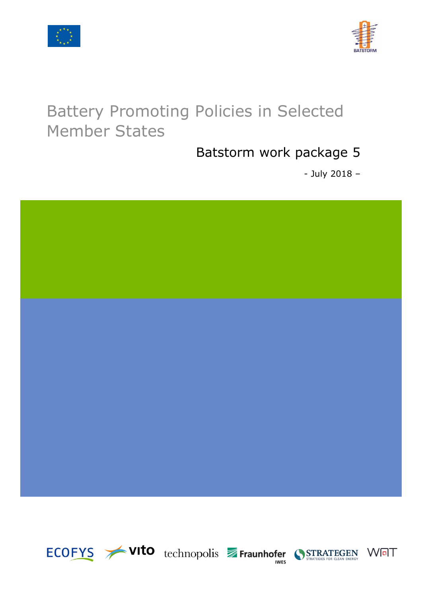



# Battery Promoting Policies in Selected Member States

# Batstorm work package 5

- July 2018 –

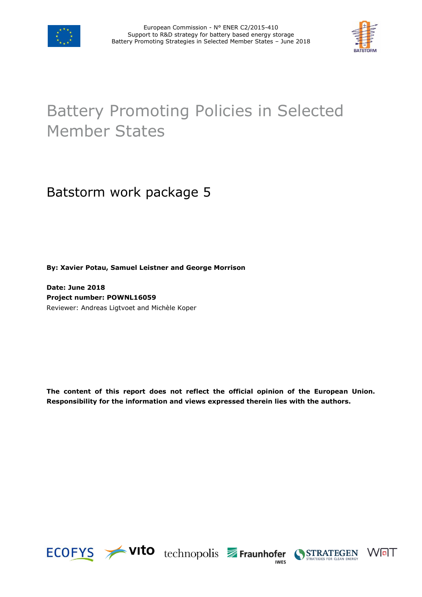



# Battery Promoting Policies in Selected Member States

# Batstorm work package 5

**By: Xavier Potau, Samuel Leistner and George Morrison**

**Date: June 2018 Project number: POWNL16059** Reviewer: Andreas Ligtvoet and Michèle Koper

**The content of this report does not reflect the official opinion of the European Union. Responsibility for the information and views expressed therein lies with the authors.**

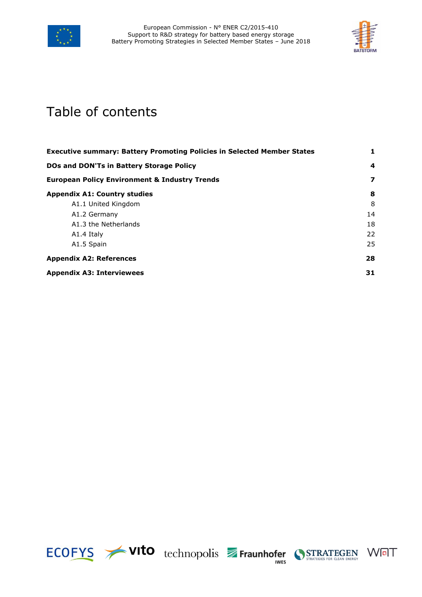



# Table of contents

| <b>Executive summary: Battery Promoting Policies in Selected Member States</b><br>DOs and DON'Ts in Battery Storage Policy |    |
|----------------------------------------------------------------------------------------------------------------------------|----|
|                                                                                                                            |    |
| <b>Appendix A1: Country studies</b>                                                                                        | 8  |
| A1.1 United Kingdom                                                                                                        | 8  |
| A1.2 Germany                                                                                                               | 14 |
| A1.3 the Netherlands                                                                                                       | 18 |
| A1.4 Italy                                                                                                                 | 22 |
| A1.5 Spain                                                                                                                 | 25 |
| <b>Appendix A2: References</b>                                                                                             | 28 |
| <b>Appendix A3: Interviewees</b>                                                                                           |    |

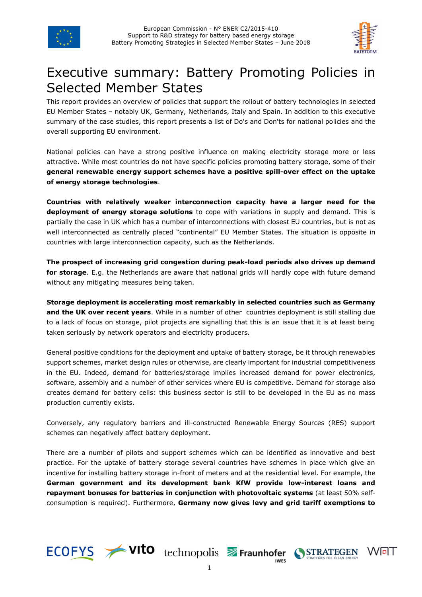



## <span id="page-3-0"></span>Executive summary: Battery Promoting Policies in Selected Member States

This report provides an overview of policies that support the rollout of battery technologies in selected EU Member States – notably UK, Germany, Netherlands, Italy and Spain. In addition to this executive summary of the case studies, this report presents a list of Do's and Don'ts for national policies and the overall supporting EU environment.

National policies can have a strong positive influence on making electricity storage more or less attractive. While most countries do not have specific policies promoting battery storage, some of their **general renewable energy support schemes have a positive spill-over effect on the uptake of energy storage technologies**.

**Countries with relatively weaker interconnection capacity have a larger need for the deployment of energy storage solutions** to cope with variations in supply and demand. This is partially the case in UK which has a number of interconnections with closest EU countries, but is not as well interconnected as centrally placed "continental" EU Member States. The situation is opposite in countries with large interconnection capacity, such as the Netherlands.

**The prospect of increasing grid congestion during peak-load periods also drives up demand for storage**. E.g. the Netherlands are aware that national grids will hardly cope with future demand without any mitigating measures being taken.

**Storage deployment is accelerating most remarkably in selected countries such as Germany and the UK over recent years**. While in a number of other countries deployment is still stalling due to a lack of focus on storage, pilot projects are signalling that this is an issue that it is at least being taken seriously by network operators and electricity producers.

General positive conditions for the deployment and uptake of battery storage, be it through renewables support schemes, market design rules or otherwise, are clearly important for industrial competitiveness in the EU. Indeed, demand for batteries/storage implies increased demand for power electronics, software, assembly and a number of other services where EU is competitive. Demand for storage also creates demand for battery cells: this business sector is still to be developed in the EU as no mass production currently exists.

Conversely, any regulatory barriers and ill-constructed Renewable Energy Sources (RES) support schemes can negatively affect battery deployment.

There are a number of pilots and support schemes which can be identified as innovative and best practice. For the uptake of battery storage several countries have schemes in place which give an incentive for installing battery storage in-front of meters and at the residential level. For example, the **German government and its development bank KfW provide low-interest loans and repayment bonuses for batteries in conjunction with photovoltaic systems** (at least 50% selfconsumption is required). Furthermore, **Germany now gives levy and grid tariff exemptions to** 



STRATEGEN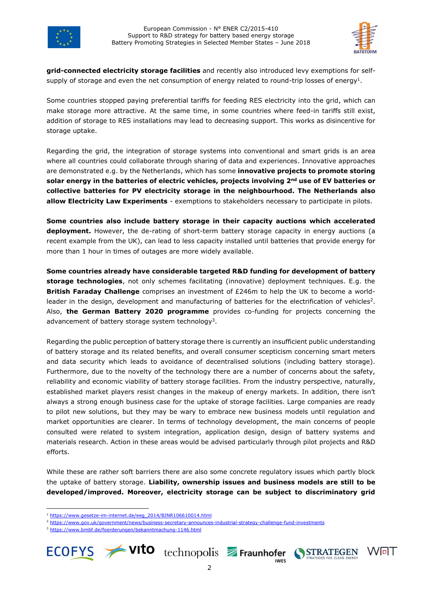



WaT

STRATEGEN

**grid-connected electricity storage facilities** and recently also introduced levy exemptions for selfsupply of storage and even the net consumption of energy related to round-trip losses of energy<sup>1</sup>.

Some countries stopped paying preferential tariffs for feeding RES electricity into the grid, which can make storage more attractive. At the same time, in some countries where feed-in tariffs still exist, addition of storage to RES installations may lead to decreasing support. This works as disincentive for storage uptake.

Regarding the grid, the integration of storage systems into conventional and smart grids is an area where all countries could collaborate through sharing of data and experiences. Innovative approaches are demonstrated e.g. by the Netherlands, which has some **innovative projects to promote storing solar energy in the batteries of electric vehicles, projects involving 2nd use of EV batteries or collective batteries for PV electricity storage in the neighbourhood. The Netherlands also allow Electricity Law Experiments** - exemptions to stakeholders necessary to participate in pilots.

**Some countries also include battery storage in their capacity auctions which accelerated deployment.** However, the de-rating of short-term battery storage capacity in energy auctions (a recent example from the UK), can lead to less capacity installed until batteries that provide energy for more than 1 hour in times of outages are more widely available.

**Some countries already have considerable targeted R&D funding for development of battery storage technologies**, not only schemes facilitating (innovative) deployment techniques. E.g. the **British Faraday Challenge** comprises an investment of £246m to help the UK to become a worldleader in the design, development and manufacturing of batteries for the electrification of vehicles<sup>2</sup>. Also, **the German Battery 2020 programme** provides co-funding for projects concerning the advancement of battery storage system technology<sup>3</sup>.

Regarding the public perception of battery storage there is currently an insufficient public understanding of battery storage and its related benefits, and overall consumer scepticism concerning smart meters and data security which leads to avoidance of decentralised solutions (including battery storage). Furthermore, due to the novelty of the technology there are a number of concerns about the safety, reliability and economic viability of battery storage facilities. From the industry perspective, naturally, established market players resist changes in the makeup of energy markets. In addition, there isn't always a strong enough business case for the uptake of storage facilities. Large companies are ready to pilot new solutions, but they may be wary to embrace new business models until regulation and market opportunities are clearer. In terms of technology development, the main concerns of people consulted were related to system integration, application design, design of battery systems and materials research. Action in these areas would be advised particularly through pilot projects and R&D efforts.

While these are rather soft barriers there are also some concrete regulatory issues which partly block the uptake of battery storage. **Liability, ownership issues and business models are still to be developed/improved. Moreover, electricity storage can be subject to discriminatory grid** 

<sup>3</sup> <https://www.bmbf.de/foerderungen/bekanntmachung-1146.html>



ł



<sup>1</sup> [https://www.gesetze-im-internet.de/eeg\\_2014/BJNR106610014.html](https://www.gesetze-im-internet.de/eeg_2014/BJNR106610014.html)

<sup>2</sup> <https://www.gov.uk/government/news/business-secretary-announces-industrial-strategy-challenge-fund-investments>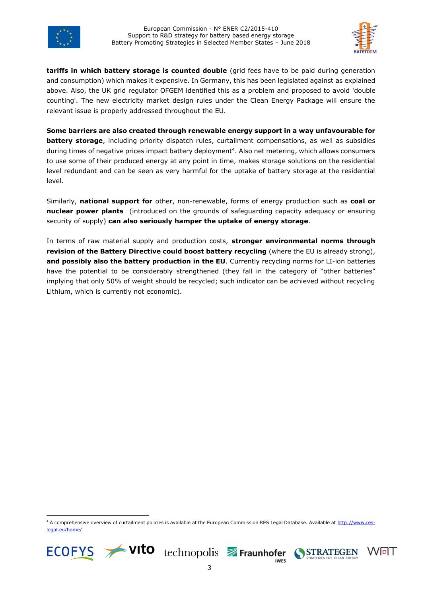



**STRATEGEN** 

**tariffs in which battery storage is counted double** (grid fees have to be paid during generation and consumption) which makes it expensive. In Germany, this has been legislated against as explained above. Also, the UK grid regulator OFGEM identified this as a problem and proposed to avoid 'double counting'. The new electricity market design rules under the Clean Energy Package will ensure the relevant issue is properly addressed throughout the EU.

**Some barriers are also created through renewable energy support in a way unfavourable for battery storage**, including priority dispatch rules, curtailment compensations, as well as subsidies during times of negative prices impact battery deployment<sup>4</sup>. Also net metering, which allows consumers to use some of their produced energy at any point in time, makes storage solutions on the residential level redundant and can be seen as very harmful for the uptake of battery storage at the residential level.

Similarly, **national support for** other, non-renewable, forms of energy production such as **coal or nuclear power plants** (introduced on the grounds of safeguarding capacity adequacy or ensuring security of supply) **can also seriously hamper the uptake of energy storage**.

In terms of raw material supply and production costs, **stronger environmental norms through revision of the Battery Directive could boost battery recycling** (where the EU is already strong), **and possibly also the battery production in the EU**. Currently recycling norms for LI-ion batteries have the potential to be considerably strengthened (they fall in the category of "other batteries" implying that only 50% of weight should be recycled; such indicator can be achieved without recycling Lithium, which is currently not economic).

<sup>4</sup> A comprehensive overview of curtailment policies is available at the European Commission RES Legal Database. Available at [http://www.res](http://www.res-legal.eu/home/)[legal.eu/home/](http://www.res-legal.eu/home/)

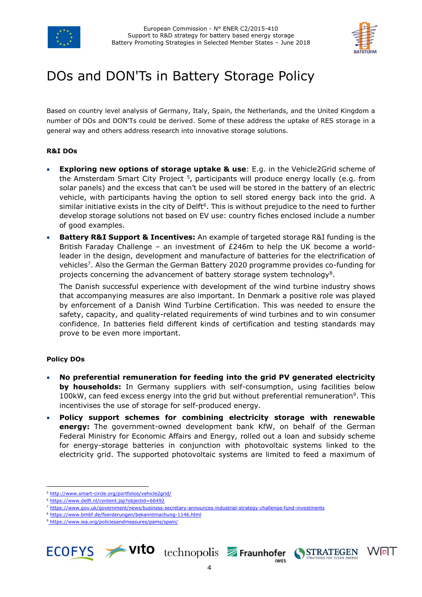



STRATEGEN

**IWES** 

# <span id="page-6-0"></span>DOs and DON'Ts in Battery Storage Policy

Based on country level analysis of Germany, Italy, Spain, the Netherlands, and the United Kingdom a number of DOs and DON'Ts could be derived. Some of these address the uptake of RES storage in a general way and others address research into innovative storage solutions.

#### **R&I DOs**

- **Exploring new options of storage uptake & use**: E.g. in the Vehicle2Grid scheme of the Amsterdam Smart City Project <sup>5</sup>, participants will produce energy locally (e.g. from solar panels) and the excess that can't be used will be stored in the battery of an electric vehicle, with participants having the option to sell stored energy back into the grid. A similar initiative exists in the city of Delft<sup>6</sup>. This is without prejudice to the need to further develop storage solutions not based on EV use: country fiches enclosed include a number of good examples.
- **Battery R&I Support & Incentives:** An example of targeted storage R&I funding is the British Faraday Challenge – an investment of £246m to help the UK become a worldleader in the design, development and manufacture of batteries for the electrification of vehicles<sup>7</sup> . Also the German the German Battery 2020 programme provides co-funding for projects concerning the advancement of battery storage system technology<sup>8</sup>.

The Danish successful experience with development of the wind turbine industry shows that accompanying measures are also important. In Denmark a positive role was played by enforcement of a Danish Wind Turbine Certification. This was needed to ensure the safety, capacity, and quality-related requirements of wind turbines and to win consumer confidence. In batteries field different kinds of certification and testing standards may prove to be even more important.

### **Policy DOs**

ł

- **No preferential remuneration for feeding into the grid PV generated electricity by households:** In Germany suppliers with self-consumption, using facilities below 100kW, can feed excess energy into the grid but without preferential remuneration<sup>9</sup>. This incentivises the use of storage for self-produced energy.
- **Policy support schemes for combining electricity storage with renewable energy:** The government-owned development bank KfW, on behalf of the German Federal Ministry for Economic Affairs and Energy, rolled out a loan and subsidy scheme for energy-storage batteries in conjunction with photovoltaic systems linked to the electricity grid. The supported photovoltaic systems are limited to feed a maximum of

<sup>9</sup> <https://www.iea.org/policiesandmeasures/pams/spain/>



<sup>5</sup> <http://www.smart-circle.org/portfolios/vehicle2grid/>

<sup>6</sup> <https://www.delft.nl/content.jsp?objectid=66492>

<sup>7</sup> <https://www.gov.uk/government/news/business-secretary-announces-industrial-strategy-challenge-fund-investments>

<sup>8</sup> <https://www.bmbf.de/foerderungen/bekanntmachung-1146.html>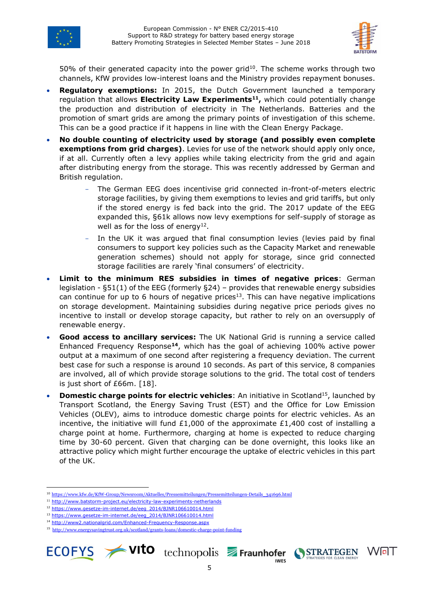



STRATEGEN

**IWES** 

50% of their generated capacity into the power grid $10$ . The scheme works through two channels, KfW provides low-interest loans and the Ministry provides repayment bonuses.

- **Regulatory exemptions:** In 2015, the Dutch Government launched a temporary regulation that allows **Electricity Law Experiments<sup>11</sup> ,** which could potentially change the production and distribution of electricity in The Netherlands. Batteries and the promotion of smart grids are among the primary points of investigation of this scheme. This can be a good practice if it happens in line with the Clean Energy Package.
- **No double counting of electricity used by storage (and possibly even complete exemptions from grid charges)**. Levies for use of the network should apply only once, if at all. Currently often a levy applies while taking electricity from the grid and again after distributing energy from the storage. This was recently addressed by German and British regulation.
	- The German EEG does incentivise grid connected in-front-of-meters electric storage facilities, by giving them exemptions to levies and grid tariffs, but only if the stored energy is fed back into the grid. The 2017 update of the EEG expanded this, §61k allows now levy exemptions for self-supply of storage as well as for the loss of energy<sup>12</sup>.
	- In the UK it was argued that final consumption levies (levies paid by final consumers to support key policies such as the Capacity Market and renewable generation schemes) should not apply for storage, since grid connected storage facilities are rarely 'final consumers' of electricity.
- **Limit to the minimum RES subsidies in times of negative prices**: German legislation -  $\S51(1)$  of the EEG (formerly  $\S24$ ) – provides that renewable energy subsidies can continue for up to 6 hours of negative prices<sup>13</sup>. This can have negative implications on storage development. Maintaining subsidies during negative price periods gives no incentive to install or develop storage capacity, but rather to rely on an oversupply of renewable energy.
- **Good access to ancillary services:** The UK National Grid is running a service called Enhanced Frequency Response**<sup>14</sup>**, which has the goal of achieving 100% active power output at a maximum of one second after registering a frequency deviation. The current best case for such a response is around 10 seconds. As part of this service, 8 companies are involved, all of which provide storage solutions to the grid. The total cost of tenders is just short of £66m. [18].
- **Domestic charge points for electric vehicles**: An initiative in Scotland<sup>15</sup>, launched by Transport Scotland, the Energy Saving Trust (EST) and the Office for Low Emission Vehicles (OLEV), aims to introduce domestic charge points for electric vehicles. As an incentive, the initiative will fund £1,000 of the approximate £1,400 cost of installing a charge point at home. Furthermore, charging at home is expected to reduce charging time by 30-60 percent. Given that charging can be done overnight, this looks like an attractive policy which might further encourage the uptake of electric vehicles in this part of the UK.

<sup>15</sup> <http://www.energysavingtrust.org.uk/scotland/grants-loans/domestic-charge-point-funding>



ł

<sup>10</sup> [https://www.kfw.de/KfW-Group/Newsroom/Aktuelles/Pressemitteilungen/Pressemitteilungen-Details\\_341696.html](https://www.kfw.de/KfW-Group/Newsroom/Aktuelles/Pressemitteilungen/Pressemitteilungen-Details_341696.html)

<sup>11</sup> <http://www.batstorm-project.eu/electricity-law-experiments-netherlands>

<sup>12</sup> [https://www.gesetze-im-internet.de/eeg\\_2014/BJNR106610014.html](https://www.gesetze-im-internet.de/eeg_2014/BJNR106610014.html)

<sup>13</sup> [https://www.gesetze-im-internet.de/eeg\\_2014/BJNR106610014.html](https://www.gesetze-im-internet.de/eeg_2014/BJNR106610014.html)

<sup>14</sup> <http://www2.nationalgrid.com/Enhanced-Frequency-Response.aspx>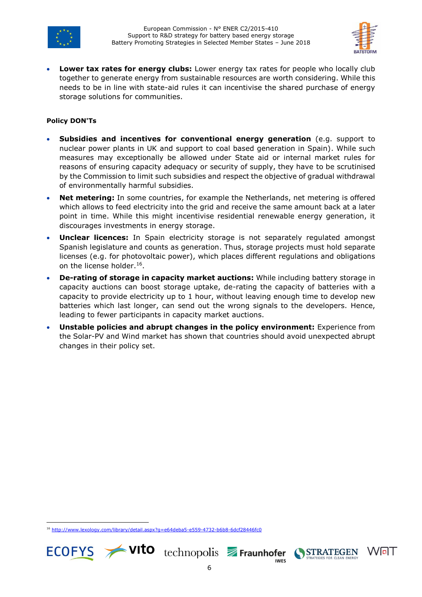



STRATEGEN

**IWES** 

**Lower tax rates for energy clubs:** Lower energy tax rates for people who locally club together to generate energy from sustainable resources are worth considering. While this needs to be in line with state-aid rules it can incentivise the shared purchase of energy storage solutions for communities.

#### **Policy DON'Ts**

- **Subsidies and incentives for conventional energy generation** (e.g. support to nuclear power plants in UK and support to coal based generation in Spain). While such measures may exceptionally be allowed under State aid or internal market rules for reasons of ensuring capacity adequacy or security of supply, they have to be scrutinised by the Commission to limit such subsidies and respect the objective of gradual withdrawal of environmentally harmful subsidies.
- **Net metering:** In some countries, for example the Netherlands, net metering is offered which allows to feed electricity into the grid and receive the same amount back at a later point in time. While this might incentivise residential renewable energy generation, it discourages investments in energy storage.
- **Unclear licences:** In Spain electricity storage is not separately regulated amongst Spanish legislature and counts as generation. Thus, storage projects must hold separate licenses (e.g. for photovoltaic power), which places different regulations and obligations on the license holder.<sup>16</sup>.
- **De-rating of storage in capacity market auctions:** While including battery storage in capacity auctions can boost storage uptake, de-rating the capacity of batteries with a capacity to provide electricity up to 1 hour, without leaving enough time to develop new batteries which last longer, can send out the wrong signals to the developers. Hence, leading to fewer participants in capacity market auctions.
- **Unstable policies and abrupt changes in the policy environment:** Experience from the Solar-PV and Wind market has shown that countries should avoid unexpected abrupt changes in their policy set.

<sup>16</sup> <http://www.lexology.com/library/detail.aspx?g=e64deba5-e559-4732-b6b8-6dcf28446fc0>



-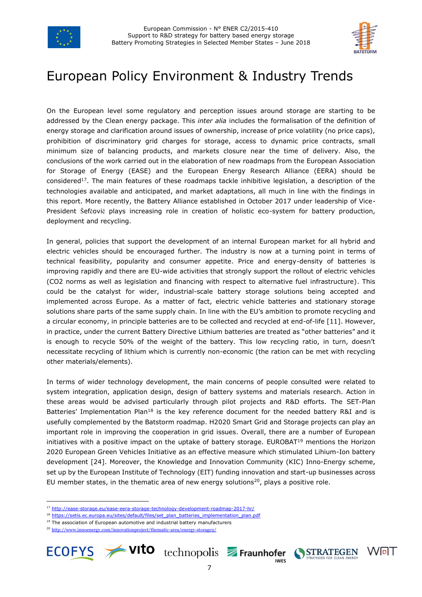



# <span id="page-9-0"></span>European Policy Environment & Industry Trends

On the European level some regulatory and perception issues around storage are starting to be addressed by the Clean energy package. This *inter alia* includes the formalisation of the definition of energy storage and clarification around issues of ownership, increase of price volatility (no price caps), prohibition of discriminatory grid charges for storage, access to dynamic price contracts, small minimum size of balancing products, and markets closure near the time of delivery. Also, the conclusions of the work carried out in the elaboration of new roadmaps from the European Association for Storage of Energy (EASE) and the European Energy Research Alliance (EERA) should be considered<sup>17</sup>. The main features of these roadmaps tackle inhibitive legislation, a description of the technologies available and anticipated, and market adaptations, all much in line with the findings in this report. More recently, the Battery Alliance established in October 2017 under leadership of Vice-President Šefčovič plays increasing role in creation of holistic eco-system for battery production, deployment and recycling.

In general, policies that support the development of an internal European market for all hybrid and electric vehicles should be encouraged further. The industry is now at a turning point in terms of technical feasibility, popularity and consumer appetite. Price and energy-density of batteries is improving rapidly and there are EU-wide activities that strongly support the rollout of electric vehicles (CO2 norms as well as legislation and financing with respect to alternative fuel infrastructure). This could be the catalyst for wider, industrial-scale battery storage solutions being accepted and implemented across Europe. As a matter of fact, electric vehicle batteries and stationary storage solutions share parts of the same supply chain. In line with the EU's ambition to promote recycling and a circular economy, in principle batteries are to be collected and recycled at end-of-life [11]. However, in practice, under the current Battery Directive Lithium batteries are treated as "other batteries" and it is enough to recycle 50% of the weight of the battery. This low recycling ratio, in turn, doesn't necessitate recycling of lithium which is currently non-economic (the ration can be met with recycling other materials/elements).

In terms of wider technology development, the main concerns of people consulted were related to system integration, application design, design of battery systems and materials research. Action in these areas would be advised particularly through pilot projects and R&D efforts. The SET-Plan Batteries' Implementation Plan<sup>18</sup> is the key reference document for the needed battery R&I and is usefully complemented by the Batstorm roadmap. H2020 Smart Grid and Storage projects can play an important role in improving the cooperation in grid issues. Overall, there are a number of European initiatives with a positive impact on the uptake of battery storage. EUROBAT<sup>19</sup> mentions the Horizon 2020 European Green Vehicles Initiative as an effective measure which stimulated Lihium-Ion battery development [24]. Moreover, the Knowledge and Innovation Community (KIC) Inno-Energy scheme, set up by the European Institute of Technology (EIT) funding innovation and start-up businesses across EU member states, in the thematic area of new energy solutions<sup>20</sup>, plays a positive role.

<sup>20</sup> <http://www.innoenergy.com/innovationproject/thematic-area/energy-storage2/>



ł

STRATEGEN

WoT

<sup>17</sup> http://ease-storage.eu/ease-eera-storage-technology-development-roadmap-2017-hr/

<sup>18</sup> [https://setis.ec.europa.eu/sites/default/files/set\\_plan\\_batteries\\_implementation\\_plan.pdf](https://setis.ec.europa.eu/sites/default/files/set_plan_batteries_implementation_plan.pdf)

<sup>&</sup>lt;sup>19</sup> The association of European automotive and industrial battery manufacturers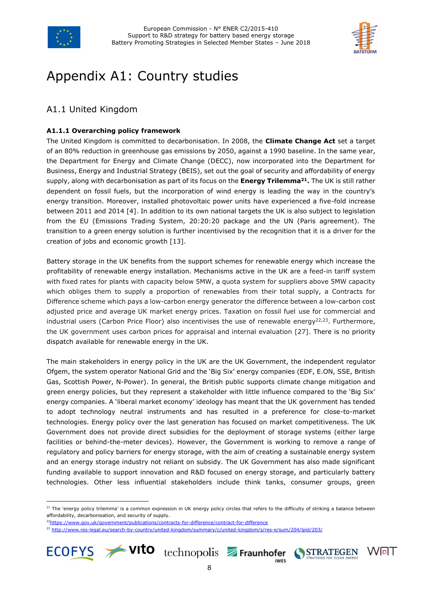



STRATEGEN

# <span id="page-10-0"></span>Appendix A1: Country studies

## <span id="page-10-1"></span>A1.1 United Kingdom

### **A1.1.1 Overarching policy framework**

The United Kingdom is committed to decarbonisation. In 2008, the **Climate Change Act** set a target of an 80% reduction in greenhouse gas emissions by 2050, against a 1990 baseline. In the same year, the Department for Energy and Climate Change (DECC), now incorporated into the Department for Business, Energy and Industrial Strategy (BEIS), set out the goal of security and affordability of energy supply, along with decarbonisation as part of its focus on the **Energy Trilemma<sup>21</sup>.** The UK is still rather dependent on fossil fuels, but the incorporation of wind energy is leading the way in the country's energy transition. Moreover, installed photovoltaic power units have experienced a five-fold increase between 2011 and 2014 [4]. In addition to its own national targets the UK is also subject to legislation from the EU (Emissions Trading System, 20:20:20 package and the UN (Paris agreement). The transition to a green energy solution is further incentivised by the recognition that it is a driver for the creation of jobs and economic growth [13].

Battery storage in the UK benefits from the support schemes for renewable energy which increase the profitability of renewable energy installation. Mechanisms active in the UK are a feed-in tariff system with fixed rates for plants with capacity below 5MW, a quota system for suppliers above 5MW capacity which obliges them to supply a proportion of renewables from their total supply, a Contracts for Difference scheme which pays a low-carbon energy generator the difference between a low-carbon cost adjusted price and average UK market energy prices. Taxation on fossil fuel use for commercial and industrial users (Carbon Price Floor) also incentivises the use of renewable energy<sup>22,23</sup>. Furthermore, the UK government uses carbon prices for appraisal and internal evaluation [27]. There is no priority dispatch available for renewable energy in the UK.

The main stakeholders in energy policy in the UK are the UK Government, the independent regulator Ofgem, the system operator National Grid and the 'Big Six' energy companies (EDF, E.ON, SSE, British Gas, Scottish Power, N-Power). In general, the British public supports climate change mitigation and green energy policies, but they represent a stakeholder with little influence compared to the 'Big Six' energy companies. A 'liberal market economy' ideology has meant that the UK government has tended to adopt technology neutral instruments and has resulted in a preference for close-to-market technologies. Energy policy over the last generation has focused on market competitiveness. The UK Government does not provide direct subsidies for the deployment of storage systems (either large facilities or behind-the-meter devices). However, the Government is working to remove a range of regulatory and policy barriers for energy storage, with the aim of creating a sustainable energy system and an energy storage industry not reliant on subsidy. The UK Government has also made significant funding available to support innovation and R&D focused on energy storage, and particularly battery technologies. Other less influential stakeholders include think tanks, consumer groups, green

<sup>22</sup><https://www.gov.uk/government/publications/contracts-for-difference/contract-for-difference>

<sup>23</sup> <http://www.res-legal.eu/search-by-country/united-kingdom/summary/c/united-kingdom/s/res-e/sum/204/lpid/203/>



<sup>&</sup>lt;sup>21</sup> The 'energy policy trilemma' is a common expression in UK energy policy circles that refers to the difficulty of striking a balance between affordability, decarbonisation, and security of supply.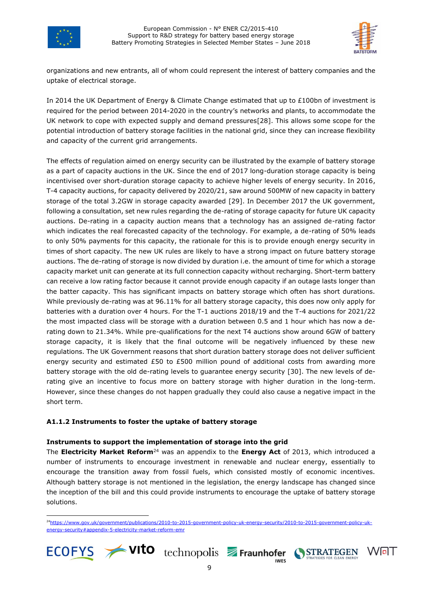



organizations and new entrants, all of whom could represent the interest of battery companies and the uptake of electrical storage.

In 2014 the UK Department of Energy & Climate Change estimated that up to £100bn of investment is required for the period between 2014-2020 in the country's networks and plants, to accommodate the UK network to cope with expected supply and demand pressures[28]. This allows some scope for the potential introduction of battery storage facilities in the national grid, since they can increase flexibility and capacity of the current grid arrangements.

The effects of regulation aimed on energy security can be illustrated by the example of battery storage as a part of capacity auctions in the UK. Since the end of 2017 long-duration storage capacity is being incentivised over short-duration storage capacity to achieve higher levels of energy security. In 2016, T-4 capacity auctions, for capacity delivered by 2020/21, saw around 500MW of new capacity in battery storage of the total 3.2GW in storage capacity awarded [29]. In December 2017 the UK government, following a consultation, set new rules regarding the de-rating of storage capacity for future UK capacity auctions. De-rating in a capacity auction means that a technology has an assigned de-rating factor which indicates the real forecasted capacity of the technology. For example, a de-rating of 50% leads to only 50% payments for this capacity, the rationale for this is to provide enough energy security in times of short capacity. The new UK rules are likely to have a strong impact on future battery storage auctions. The de-rating of storage is now divided by duration i.e. the amount of time for which a storage capacity market unit can generate at its full connection capacity without recharging. Short-term battery can receive a low rating factor because it cannot provide enough capacity if an outage lasts longer than the batter capacity. This has significant impacts on battery storage which often has short durations. While previously de-rating was at 96.11% for all battery storage capacity, this does now only apply for batteries with a duration over 4 hours. For the T-1 auctions 2018/19 and the T-4 auctions for 2021/22 the most impacted class will be storage with a duration between 0.5 and 1 hour which has now a derating down to 21.34%. While pre-qualifications for the next T4 auctions show around 6GW of battery storage capacity, it is likely that the final outcome will be negatively influenced by these new regulations. The UK Government reasons that short duration battery storage does not deliver sufficient energy security and estimated £50 to £500 million pound of additional costs from awarding more battery storage with the old de-rating levels to guarantee energy security [30]. The new levels of derating give an incentive to focus more on battery storage with higher duration in the long-term. However, since these changes do not happen gradually they could also cause a negative impact in the short term.

#### **A1.1.2 Instruments to foster the uptake of battery storage**

#### **Instruments to support the implementation of storage into the grid**

The **Electricity Market Reform**<sup>24</sup> was an appendix to the **Energy Act** of 2013, which introduced a number of instruments to encourage investment in renewable and nuclear energy, essentially to encourage the transition away from fossil fuels, which consisted mostly of economic incentives. Although battery storage is not mentioned in the legislation, the energy landscape has changed since the inception of the bill and this could provide instruments to encourage the uptake of battery storage solutions.

<sup>24</sup>[https://www.gov.uk/government/publications/2010-to-2015-government-policy-uk-energy-security/2010-to-2015-government-policy-uk](https://www.gov.uk/government/publications/2010-to-2015-government-policy-uk-energy-security/2010-to-2015-government-policy-uk-energy-security#appendix-5-electricity-market-reform-emr)[energy-security#appendix-5-electricity-market-reform-emr](https://www.gov.uk/government/publications/2010-to-2015-government-policy-uk-energy-security/2010-to-2015-government-policy-uk-energy-security#appendix-5-electricity-market-reform-emr)





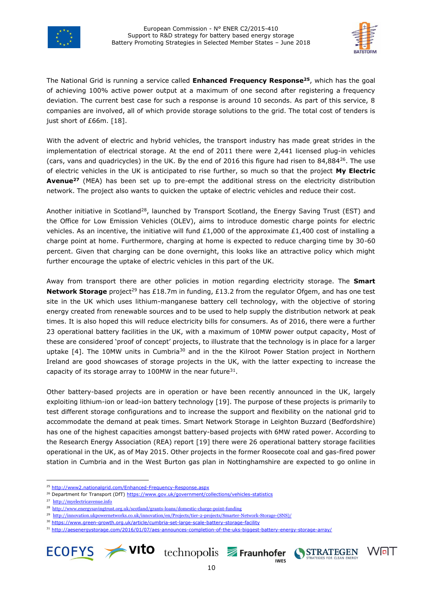



STRATEGEN

The National Grid is running a service called **Enhanced Frequency Response<sup>25</sup>**, which has the goal of achieving 100% active power output at a maximum of one second after registering a frequency deviation. The current best case for such a response is around 10 seconds. As part of this service, 8 companies are involved, all of which provide storage solutions to the grid. The total cost of tenders is just short of £66m. [18].

With the advent of electric and hybrid vehicles, the transport industry has made great strides in the implementation of electrical storage. At the end of 2011 there were 2,441 licensed plug-in vehicles (cars, vans and quadricycles) in the UK. By the end of 2016 this figure had risen to  $84,884^{26}$ . The use of electric vehicles in the UK is anticipated to rise further, so much so that the project **My Electric Avenue<sup>27</sup>** (MEA) has been set up to pre-empt the additional stress on the electricity distribution network. The project also wants to quicken the uptake of electric vehicles and reduce their cost.

Another initiative in Scotland<sup>28</sup>, launched by Transport Scotland, the Energy Saving Trust (EST) and the Office for Low Emission Vehicles (OLEV), aims to introduce domestic charge points for electric vehicles. As an incentive, the initiative will fund £1,000 of the approximate £1,400 cost of installing a charge point at home. Furthermore, charging at home is expected to reduce charging time by 30-60 percent. Given that charging can be done overnight, this looks like an attractive policy which might further encourage the uptake of electric vehicles in this part of the UK.

<span id="page-12-0"></span>Away from transport there are other policies in motion regarding electricity storage. The **Smart Network Storage** project<sup>29</sup> has £18.7m in funding, £13.2 from the regulator Ofgem, and has one test site in the UK which uses lithium-manganese battery cell technology, with the objective of storing energy created from renewable sources and to be used to help supply the distribution network at peak times. It is also hoped this will reduce electricity bills for consumers. As of 2016, there were a further 23 operational battery facilities in the UK, with a maximum of 10MW power output capacity, Most of these are considered 'proof of concept' projects, to illustrate that the technology is in place for a larger uptake  $[4]$ . The 10MW units in Cumbria<sup>30</sup> and in the the Kilroot Power Station project in Northern Ireland are good showcases of storage projects in the UK, with the latter expecting to increase the capacity of its storage array to 100MW in the near future $31$ .

Other battery-based projects are in operation or have been recently announced in the UK, largely exploiting lithium-ion or lead-ion battery technology [19]. The purpose of these projects is primarily to test different storage configurations and to increase the support and flexibility on the national grid to accommodate the demand at peak times. Smart Network Storage in Leighton Buzzard (Bedfordshire) has one of the highest capacities amongst battery-based projects with 6MW rated power. According to the Research Energy Association (REA) report [19] there were 26 operational battery storage facilities operational in the UK, as of May 2015. Other projects in the former Roosecote coal and gas-fired power station in Cumbria and in the West Burton gas plan in Nottinghamshire are expected to go online in

<sup>31</sup> <http://aesenergystorage.com/2016/01/07/aes-announces-completion-of-the-uks-biggest-battery-energy-storage-array/>



<sup>25</sup> <http://www2.nationalgrid.com/Enhanced-Frequency-Response.aspx>

<sup>&</sup>lt;sup>26</sup> Department for Transport (DfT)<https://www.gov.uk/government/collections/vehicles-statistics>

<sup>27</sup> [http://myelectricavenue.info](http://myelectricavenue.info/)

<sup>28</sup> <http://www.energysavingtrust.org.uk/scotland/grants-loans/domestic-charge-point-funding>

<sup>29</sup> [http://innovation.ukpowernetworks.co.uk/innovation/en/Projects/tier-2-projects/Smarter-Network-Storage-\(SNS\)/](http://innovation.ukpowernetworks.co.uk/innovation/en/Projects/tier-2-projects/Smarter-Network-Storage-(SNS)/)

<sup>30</sup> <https://www.green-growth.org.uk/article/cumbria-set-large-scale-battery-storage-facility>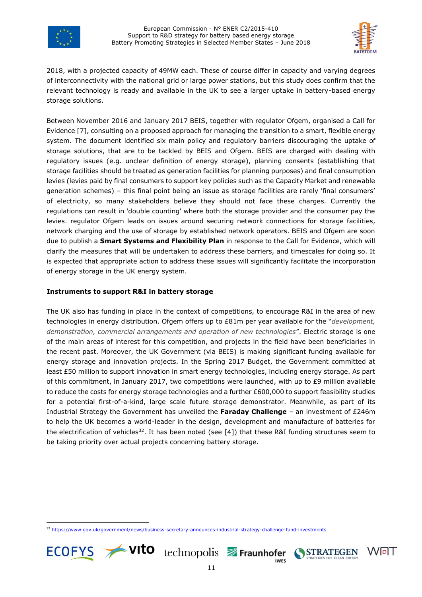



2018, with a projected capacity of 49MW each. These of course differ in capacity and varying degrees of interconnectivity with the national grid or large power stations, but this study does confirm that the relevant technology is ready and available in the UK to see a larger uptake in battery-based energy storage solutions.

Between November 2016 and January 2017 BEIS, together with regulator Ofgem, organised a Call for Evidence [7], consulting on a proposed approach for managing the transition to a smart, flexible energy system. The document identified six main policy and regulatory barriers discouraging the uptake of storage solutions, that are to be tackled by BEIS and Ofgem. BEIS are charged with dealing with regulatory issues (e.g. unclear definition of energy storage), planning consents (establishing that storage facilities should be treated as generation facilities for planning purposes) and final consumption levies (levies paid by final consumers to support key policies such as the Capacity Market and renewable generation schemes) – this final point being an issue as storage facilities are rarely 'final consumers' of electricity, so many stakeholders believe they should not face these charges. Currently the regulations can result in 'double counting' where both the storage provider and the consumer pay the levies. regulator Ofgem leads on issues around securing network connections for storage facilities, network charging and the use of storage by established network operators. BEIS and Ofgem are soon due to publish a **Smart Systems and Flexibility Plan** in response to the Call for Evidence, which will clarify the measures that will be undertaken to address these barriers, and timescales for doing so. It is expected that appropriate action to address these issues will significantly facilitate the incorporation of energy storage in the UK energy system.

#### **Instruments to support R&I in battery storage**

The UK also has funding in place in the context of competitions, to encourage R&I in the area of new technologies in energy distribution. Ofgem offers up to £81m per year available for the "*development, demonstration, commercial arrangements and operation of new technologies*". Electric storage is one of the main areas of interest for this competition, and projects in the field have been beneficiaries in the recent past. Moreover, the UK Government (via BEIS) is making significant funding available for energy storage and innovation projects. In the Spring 2017 Budget, the Government committed at least £50 million to support innovation in smart energy technologies, including energy storage. As part of this commitment, in January 2017, two competitions were launched, with up to  $E9$  million available to reduce the costs for energy storage technologies and a further £600,000 to support feasibility studies for a potential first-of-a-kind, large scale future storage demonstrator. Meanwhile, as part of its Industrial Strategy the Government has unveiled the **Faraday Challenge** – an investment of £246m to help the UK becomes a world-leader in the design, development and manufacture of batteries for the electrification of vehicles<sup>32</sup>. It has been noted (see [4]) that these R&I funding structures seem to be taking priority over actual projects concerning battery storage.

<sup>32</sup> <https://www.gov.uk/government/news/business-secretary-announces-industrial-strategy-challenge-fund-investments>



-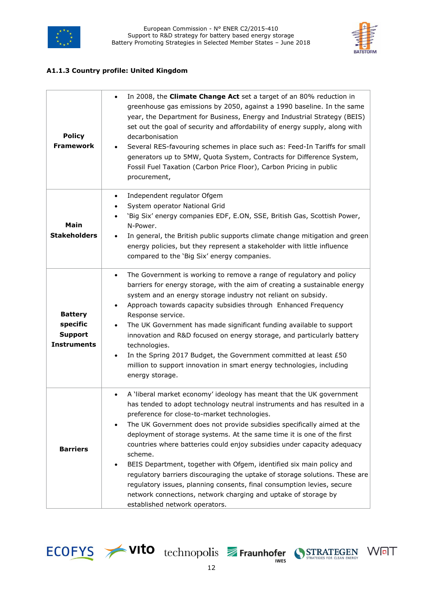



### **A1.1.3 Country profile: United Kingdom**

| <b>Policy</b><br><b>Framework</b>                                  | In 2008, the <b>Climate Change Act</b> set a target of an 80% reduction in<br>greenhouse gas emissions by 2050, against a 1990 baseline. In the same<br>year, the Department for Business, Energy and Industrial Strategy (BEIS)<br>set out the goal of security and affordability of energy supply, along with<br>decarbonisation<br>Several RES-favouring schemes in place such as: Feed-In Tariffs for small<br>$\bullet$<br>generators up to 5MW, Quota System, Contracts for Difference System,<br>Fossil Fuel Taxation (Carbon Price Floor), Carbon Pricing in public<br>procurement,                                                                                                                                                                                                  |
|--------------------------------------------------------------------|----------------------------------------------------------------------------------------------------------------------------------------------------------------------------------------------------------------------------------------------------------------------------------------------------------------------------------------------------------------------------------------------------------------------------------------------------------------------------------------------------------------------------------------------------------------------------------------------------------------------------------------------------------------------------------------------------------------------------------------------------------------------------------------------|
| <b>Main</b><br><b>Stakeholders</b>                                 | Independent regulator Ofgem<br>$\bullet$<br>System operator National Grid<br>'Big Six' energy companies EDF, E.ON, SSE, British Gas, Scottish Power,<br>N-Power.<br>In general, the British public supports climate change mitigation and green<br>energy policies, but they represent a stakeholder with little influence<br>compared to the 'Big Six' energy companies.                                                                                                                                                                                                                                                                                                                                                                                                                    |
| <b>Battery</b><br>specific<br><b>Support</b><br><b>Instruments</b> | The Government is working to remove a range of regulatory and policy<br>$\bullet$<br>barriers for energy storage, with the aim of creating a sustainable energy<br>system and an energy storage industry not reliant on subsidy.<br>Approach towards capacity subsidies through Enhanced Frequency<br>$\bullet$<br>Response service.<br>The UK Government has made significant funding available to support<br>innovation and R&D focused on energy storage, and particularly battery<br>technologies.<br>In the Spring 2017 Budget, the Government committed at least £50<br>million to support innovation in smart energy technologies, including<br>energy storage.                                                                                                                       |
| <b>Barriers</b>                                                    | A 'liberal market economy' ideology has meant that the UK government<br>$\bullet$<br>has tended to adopt technology neutral instruments and has resulted in a<br>preference for close-to-market technologies.<br>The UK Government does not provide subsidies specifically aimed at the<br>deployment of storage systems. At the same time it is one of the first<br>countries where batteries could enjoy subsidies under capacity adequacy<br>scheme.<br>BEIS Department, together with Ofgem, identified six main policy and<br>regulatory barriers discouraging the uptake of storage solutions. These are<br>regulatory issues, planning consents, final consumption levies, secure<br>network connections, network charging and uptake of storage by<br>established network operators. |

ECOFYS VITO technopolis Fraunhofer STRATEGEN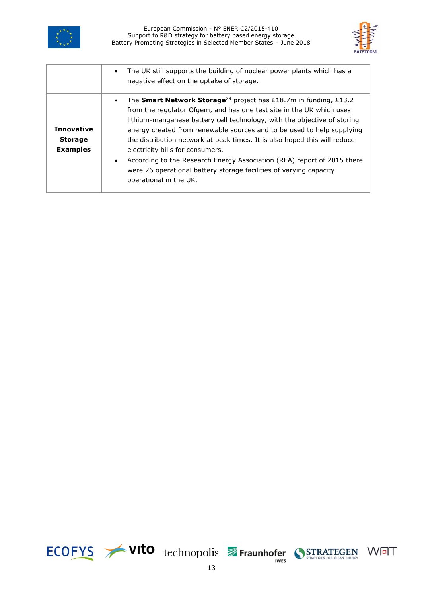



|                                                        | The UK still supports the building of nuclear power plants which has a<br>$\bullet$<br>negative effect on the uptake of storage.                                                                                                                                                                                                                                                                                                                                                                                                                                                                                           |
|--------------------------------------------------------|----------------------------------------------------------------------------------------------------------------------------------------------------------------------------------------------------------------------------------------------------------------------------------------------------------------------------------------------------------------------------------------------------------------------------------------------------------------------------------------------------------------------------------------------------------------------------------------------------------------------------|
| <b>Innovative</b><br><b>Storage</b><br><b>Examples</b> | The <b>Smart Network Storage</b> <sup>29</sup> project has £18.7m in funding, £13.2<br>from the regulator Ofgem, and has one test site in the UK which uses<br>lithium-manganese battery cell technology, with the objective of storing<br>energy created from renewable sources and to be used to help supplying<br>the distribution network at peak times. It is also hoped this will reduce<br>electricity bills for consumers.<br>According to the Research Energy Association (REA) report of 2015 there<br>$\bullet$<br>were 26 operational battery storage facilities of varying capacity<br>operational in the UK. |



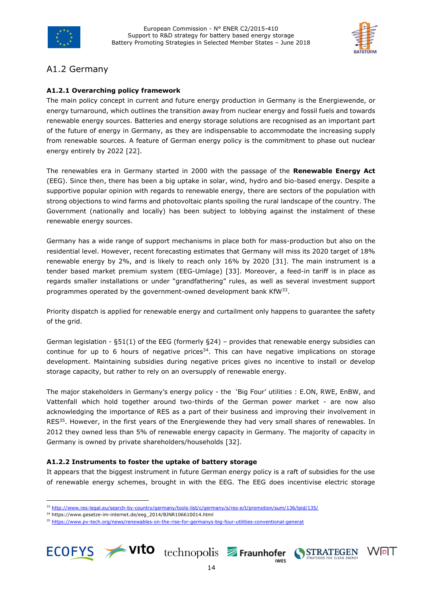



STRATEGEN

### <span id="page-16-0"></span>A1.2 Germany

### **A1.2.1 Overarching policy framework**

The main policy concept in current and future energy production in Germany is the Energiewende, or energy turnaround, which outlines the transition away from nuclear energy and fossil fuels and towards renewable energy sources. Batteries and energy storage solutions are recognised as an important part of the future of energy in Germany, as they are indispensable to accommodate the increasing supply from renewable sources. A feature of German energy policy is the commitment to phase out nuclear energy entirely by 2022 [22].

The renewables era in Germany started in 2000 with the passage of the **Renewable Energy Act** (EEG). Since then, there has been a big uptake in solar, wind, hydro and bio-based energy. Despite a supportive popular opinion with regards to renewable energy, there are sectors of the population with strong objections to wind farms and photovoltaic plants spoiling the rural landscape of the country. The Government (nationally and locally) has been subject to lobbying against the instalment of these renewable energy sources.

Germany has a wide range of support mechanisms in place both for mass-production but also on the residential level. However, recent forecasting estimates that Germany will miss its 2020 target of 18% renewable energy by 2%, and is likely to reach only 16% by 2020 [31]. The main instrument is a tender based market premium system (EEG-Umlage) [33]. Moreover, a feed-in tariff is in place as regards smaller installations or under "grandfathering" rules, as well as several investment support programmes operated by the government-owned development bank  $KfW^{33}$ .

Priority dispatch is applied for renewable energy and curtailment only happens to guarantee the safety of the grid.

German legislation - §51(1) of the EEG (formerly §24) – provides that renewable energy subsidies can continue for up to 6 hours of negative prices $34$ . This can have negative implications on storage development. Maintaining subsidies during negative prices gives no incentive to install or develop storage capacity, but rather to rely on an oversupply of renewable energy.

The major stakeholders in Germany's energy policy - the 'Big Four' utilities : E.ON, RWE, EnBW, and Vattenfall which hold together around two-thirds of the German power market - are now also acknowledging the importance of RES as a part of their business and improving their involvement in RES<sup>35</sup>. However, in the first years of the Energiewende they had very small shares of renewables. In 2012 they owned less than 5% of renewable energy capacity in Germany. The majority of capacity in Germany is owned by private shareholders/households [32].

### **A1.2.2 Instruments to foster the uptake of battery storage**

It appears that the biggest instrument in future German energy policy is a raft of subsidies for the use of renewable energy schemes, brought in with the EEG. The EEG does incentivise electric storage

<sup>35</sup> <https://www.pv-tech.org/news/renewables-on-the-rise-for-germanys-big-four-utilities-conventional-generat>



ł



<sup>33</sup> <http://www.res-legal.eu/search-by-country/germany/tools-list/c/germany/s/res-e/t/promotion/sum/136/lpid/135/>

<sup>34</sup> https://www.gesetze-im-internet.de/eeg\_2014/BJNR106610014.html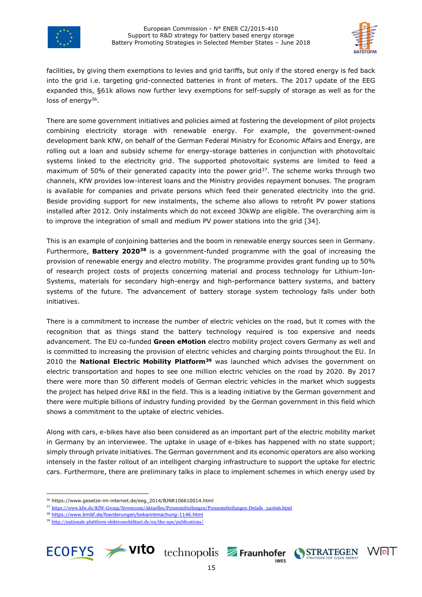



STRATEGEN

facilities, by giving them exemptions to levies and grid tariffs, but only if the stored energy is fed back into the grid i.e. targeting grid-connected batteries in front of meters. The 2017 update of the EEG expanded this, §61k allows now further levy exemptions for self-supply of storage as well as for the loss of energy<sup>36</sup>.

There are some government initiatives and policies aimed at fostering the development of pilot projects combining electricity storage with renewable energy. For example, the government-owned development bank KfW, on behalf of the German Federal Ministry for Economic Affairs and Energy, are rolling out a loan and subsidy scheme for energy-storage batteries in conjunction with photovoltaic systems linked to the electricity grid. The supported photovoltaic systems are limited to feed a maximum of 50% of their generated capacity into the power grid<sup>37</sup>. The scheme works through two channels, KfW provides low-interest loans and the Ministry provides repayment bonuses. The program is available for companies and private persons which feed their generated electricity into the grid. Beside providing support for new instalments, the scheme also allows to retrofit PV power stations installed after 2012. Only instalments which do not exceed 30kWp are eligible. The overarching aim is to improve the integration of small and medium PV power stations into the grid [34].

This is an example of conjoining batteries and the boom in renewable energy sources seen in Germany. Furthermore, **Battery 2020<sup>38</sup>** is a government-funded programme with the goal of increasing the provision of renewable energy and electro mobility. The programme provides grant funding up to 50% of research project costs of projects concerning material and process technology for Lithium-Ion-Systems, materials for secondary high-energy and high-performance battery systems, and battery systems of the future. The advancement of battery storage system technology falls under both initiatives.

There is a commitment to increase the number of electric vehicles on the road, but it comes with the recognition that as things stand the battery technology required is too expensive and needs advancement. The EU co-funded **Green eMotion** electro mobility project covers Germany as well and is committed to increasing the provision of electric vehicles and charging points throughout the EU. In 2010 the **National Electric Mobility Platform<sup>39</sup>** was launched which advises the government on electric transportation and hopes to see one million electric vehicles on the road by 2020. By 2017 there were more than 50 different models of German electric vehicles in the market which suggests the project has helped drive R&I in the field. This is a leading initiative by the German government and there were multiple billions of industry funding provided by the German government in this field which shows a commitment to the uptake of electric vehicles.

Along with cars, e-bikes have also been considered as an important part of the electric mobility market in Germany by an interviewee. The uptake in usage of e-bikes has happened with no state support; simply through private initiatives. The German government and its economic operators are also working intensely in the faster rollout of an intelligent charging infrastructure to support the uptake for electric cars. Furthermore, there are preliminary talks in place to implement schemes in which energy used by

<sup>39</sup> <http://nationale-plattform-elektromobilitaet.de/en/the-npe/publications/>



<sup>36</sup> https://www.gesetze-im-internet.de/eeg\_2014/BJNR106610014.html

<sup>37</sup> [https://www.kfw.de/KfW-Group/Newsroom/Aktuelles/Pressemitteilungen/Pressemitteilungen-Details\\_341696.html](https://www.kfw.de/KfW-Group/Newsroom/Aktuelles/Pressemitteilungen/Pressemitteilungen-Details_341696.html)

<sup>38</sup> <https://www.bmbf.de/foerderungen/bekanntmachung-1146.html>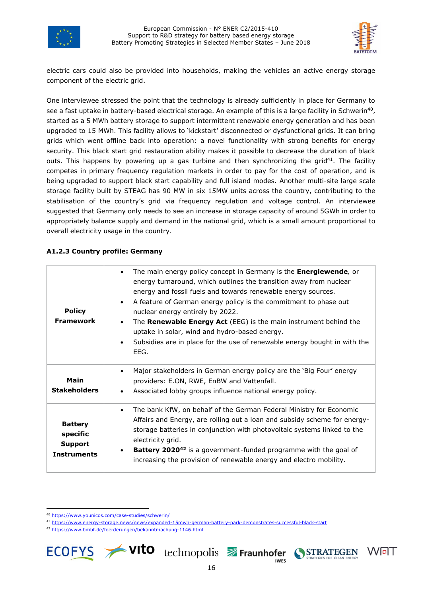

<span id="page-18-0"></span>

electric cars could also be provided into households, making the vehicles an active energy storage component of the electric grid.

One interviewee stressed the point that the technology is already sufficiently in place for Germany to see a fast uptake in battery-based electrical storage. An example of this is a large facility in Schwerin<sup>40</sup>, started as a 5 MWh battery storage to support intermittent renewable energy generation and has been upgraded to 15 MWh. This facility allows to 'kickstart' disconnected or dysfunctional grids. It can bring grids which went offline back into operation: a novel functionality with strong benefits for energy security. This black start grid restauration ability makes it possible to decrease the duration of black outs. This happens by powering up a gas turbine and then synchronizing the grid<sup>41</sup>. The facility competes in primary frequency regulation markets in order to pay for the cost of operation, and is being upgraded to support black start capability and full island modes. Another multi-site large scale storage facility built by STEAG has 90 MW in six 15MW units across the country, contributing to the stabilisation of the country's grid via frequency regulation and voltage control. An interviewee suggested that Germany only needs to see an increase in storage capacity of around 5GWh in order to appropriately balance supply and demand in the national grid, which is a small amount proportional to overall electricity usage in the country.

#### **A1.2.3 Country profile: Germany**

| <b>Policy</b><br><b>Framework</b>                                  | The main energy policy concept in Germany is the <b>Energiewende</b> , or<br>$\bullet$<br>energy turnaround, which outlines the transition away from nuclear<br>energy and fossil fuels and towards renewable energy sources.<br>A feature of German energy policy is the commitment to phase out<br>$\bullet$<br>nuclear energy entirely by 2022.<br>The Renewable Energy Act (EEG) is the main instrument behind the<br>uptake in solar, wind and hydro-based energy.<br>Subsidies are in place for the use of renewable energy bought in with the<br>FFG. |
|--------------------------------------------------------------------|--------------------------------------------------------------------------------------------------------------------------------------------------------------------------------------------------------------------------------------------------------------------------------------------------------------------------------------------------------------------------------------------------------------------------------------------------------------------------------------------------------------------------------------------------------------|
| Main<br><b>Stakeholders</b>                                        | Major stakeholders in German energy policy are the 'Big Four' energy<br>$\bullet$<br>providers: E.ON, RWE, EnBW and Vattenfall.<br>Associated lobby groups influence national energy policy.                                                                                                                                                                                                                                                                                                                                                                 |
| <b>Battery</b><br>specific<br><b>Support</b><br><b>Instruments</b> | The bank KfW, on behalf of the German Federal Ministry for Economic<br>$\bullet$<br>Affairs and Energy, are rolling out a loan and subsidy scheme for energy-<br>storage batteries in conjunction with photovoltaic systems linked to the<br>electricity grid.<br><b>Battery 2020<sup>42</sup></b> is a government-funded programme with the goal of<br>increasing the provision of renewable energy and electro mobility.                                                                                                                                   |

<sup>42</sup> <https://www.bmbf.de/foerderungen/bekanntmachung-1146.html>



ł



<sup>40</sup> <https://www.younicos.com/case-studies/schwerin/>

<sup>41</sup> <https://www.energy-storage.news/news/expanded-15mwh-german-battery-park-demonstrates-successful-black-start>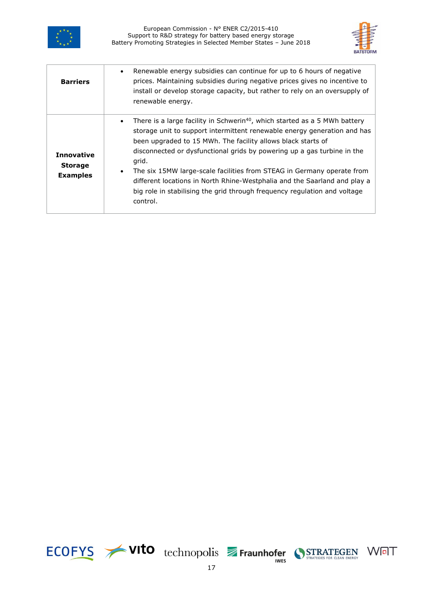



| <b>Barriers</b>                                        | Renewable energy subsidies can continue for up to 6 hours of negative<br>prices. Maintaining subsidies during negative prices gives no incentive to<br>install or develop storage capacity, but rather to rely on an oversupply of<br>renewable energy.                                                                                                                                                                                                                                                                                                                             |
|--------------------------------------------------------|-------------------------------------------------------------------------------------------------------------------------------------------------------------------------------------------------------------------------------------------------------------------------------------------------------------------------------------------------------------------------------------------------------------------------------------------------------------------------------------------------------------------------------------------------------------------------------------|
| <b>Innovative</b><br><b>Storage</b><br><b>Examples</b> | There is a large facility in Schwerin <sup>40</sup> , which started as a 5 MWh battery<br>storage unit to support intermittent renewable energy generation and has<br>been upgraded to 15 MWh. The facility allows black starts of<br>disconnected or dysfunctional grids by powering up a gas turbine in the<br>grid.<br>The six 15MW large-scale facilities from STEAG in Germany operate from<br>$\bullet$<br>different locations in North Rhine-Westphalia and the Saarland and play a<br>big role in stabilising the grid through frequency regulation and voltage<br>control. |



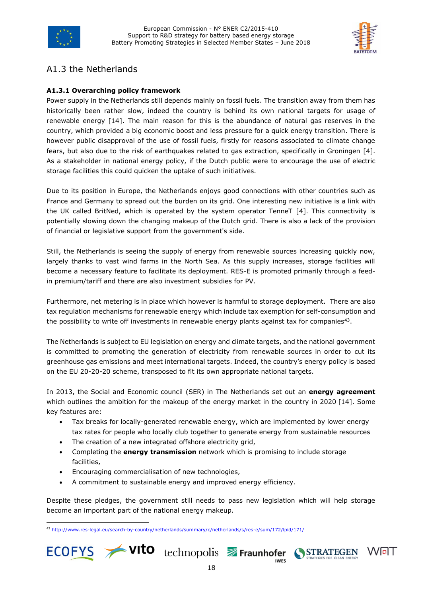



STRATEGEN

### <span id="page-20-0"></span>A1.3 the Netherlands

### **A1.3.1 Overarching policy framework**

Power supply in the Netherlands still depends mainly on fossil fuels. The transition away from them has historically been rather slow, indeed the country is behind its own national targets for usage of renewable energy [14]. The main reason for this is the abundance of natural gas reserves in the country, which provided a big economic boost and less pressure for a quick energy transition. There is however public disapproval of the use of fossil fuels, firstly for reasons associated to climate change fears, but also due to the risk of earthquakes related to gas extraction, specifically in Groningen [4]. As a stakeholder in national energy policy, if the Dutch public were to encourage the use of electric storage facilities this could quicken the uptake of such initiatives.

Due to its position in Europe, the Netherlands enjoys good connections with other countries such as France and Germany to spread out the burden on its grid. One interesting new initiative is a link with the UK called BritNed, which is operated by the system operator TenneT [4]. This connectivity is potentially slowing down the changing makeup of the Dutch grid. There is also a lack of the provision of financial or legislative support from the government's side.

Still, the Netherlands is seeing the supply of energy from renewable sources increasing quickly now, largely thanks to vast wind farms in the North Sea. As this supply increases, storage facilities will become a necessary feature to facilitate its deployment. RES-E is promoted primarily through a feedin premium/tariff and there are also investment subsidies for PV.

Furthermore, net metering is in place which however is harmful to storage deployment. There are also tax regulation mechanisms for renewable energy which include tax exemption for self-consumption and the possibility to write off investments in renewable energy plants against tax for companies<sup>43</sup>.

The Netherlands is subject to EU legislation on energy and climate targets, and the national government is committed to promoting the generation of electricity from renewable sources in order to cut its greenhouse gas emissions and meet international targets. Indeed, the country's energy policy is based on the EU 20-20-20 scheme, transposed to fit its own appropriate national targets.

In 2013, the Social and Economic council (SER) in The Netherlands set out an **energy agreement** which outlines the ambition for the makeup of the energy market in the country in 2020 [14]. Some key features are:

- Tax breaks for locally-generated renewable energy, which are implemented by lower energy tax rates for people who locally club together to generate energy from sustainable resources
- The creation of a new integrated offshore electricity grid,
- Completing the **energy transmission** network which is promising to include storage facilities,
- Encouraging commercialisation of new technologies,
- A commitment to sustainable energy and improved energy efficiency.

Despite these pledges, the government still needs to pass new legislation which will help storage become an important part of the national energy makeup.

<sup>43</sup> <http://www.res-legal.eu/search-by-country/netherlands/summary/c/netherlands/s/res-e/sum/172/lpid/171/>



-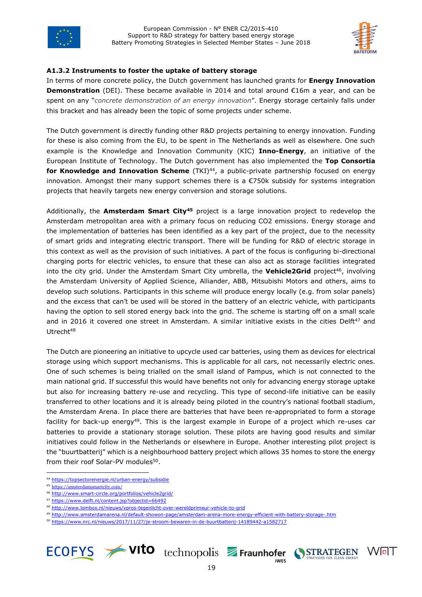



STRATEGEN

#### **A1.3.2 Instruments to foster the uptake of battery storage**

In terms of more concrete policy, the Dutch government has launched grants for **Energy Innovation Demonstration** (DEI). These became available in 2014 and total around €16m a year, and can be spent on any "*concrete demonstration of an energy innovation*". Energy storage certainly falls under this bracket and has already been the topic of some projects under scheme.

The Dutch government is directly funding other R&D projects pertaining to energy innovation. Funding for these is also coming from the EU, to be spent in The Netherlands as well as elsewhere. One such example is the Knowledge and Innovation Community (KIC) **Inno-Energy**, an initiative of the European Institute of Technology. The Dutch government has also implemented the **Top Consortia for Knowledge and Innovation Scheme** (TKI)<sup>44</sup>, a public-private partnership focused on energy innovation. Amongst their many support schemes there is a  $\epsilon$ 750k subsidy for systems integration projects that heavily targets new energy conversion and storage solutions.

Additionally, the **Amsterdam Smart City<sup>45</sup>** project is a large innovation project to redevelop the Amsterdam metropolitan area with a primary focus on reducing CO2 emissions. Energy storage and the implementation of batteries has been identified as a key part of the project, due to the necessity of smart grids and integrating electric transport. There will be funding for R&D of electric storage in this context as well as the provision of such initiatives. A part of the focus is configuring bi-directional charging ports for electric vehicles, to ensure that these can also act as storage facilities integrated into the city grid. Under the Amsterdam Smart City umbrella, the **Vehicle2Grid** project<sup>46</sup>, involving the Amsterdam University of Applied Science, Alliander, ABB, Mitsubishi Motors and others, aims to develop such solutions. Participants in this scheme will produce energy locally (e.g. from solar panels) and the excess that can't be used will be stored in the battery of an electric vehicle, with participants having the option to sell stored energy back into the grid. The scheme is starting off on a small scale and in 2016 it covered one street in Amsterdam. A similar initiative exists in the cities Delft<sup>47</sup> and Utrecht<sup>48</sup>

The Dutch are pioneering an initiative to upcycle used car batteries, using them as devices for electrical storage using which support mechanisms. This is applicable for all cars, not necessarily electric ones. One of such schemes is being trialled on the small island of Pampus, which is not connected to the main national grid. If successful this would have benefits not only for advancing energy storage uptake but also for increasing battery re-use and recycling. This type of second-life initiative can be easily transferred to other locations and it is already being piloted in the country's national football stadium, the Amsterdam Arena. In place there are batteries that have been re-appropriated to form a storage facility for back-up energy<sup>49</sup>. This is the largest example in Europe of a project which re-uses car batteries to provide a stationary storage solution. These pilots are having good results and similar initiatives could follow in the Netherlands or elsewhere in Europe. Another interesting pilot project is the "buurtbatterij" which is a neighbourhood battery project which allows 35 homes to store the energy from their roof Solar-PV modules<sup>50</sup>.

<sup>44</sup> <https://topsectorenergie.nl/urban-energy/subsidie>

- <sup>46</sup> <http://www.smart-circle.org/portfolios/vehicle2grid/>
- <sup>47</sup> <https://www.delft.nl/content.jsp?objectid=66492>
- <sup>48</sup> <http://www.lombox.nl/nieuws/vpros-tegenlicht-over-wereldprimeur-vehicle-to-grid>
- <sup>49</sup> <http://www.amsterdamarena.nl/default-showon-page/amsterdam-arena-more-energy-efficient-with-battery-storage-.htm>
- <sup>50</sup> [https://www.nrc.nl/nieuws/2017/11/27/je-stroom-bewaren-in-de-buurtbatterij-14189442-a1582717](file:///C:/Users/samuelleistner/Documents/OneDrive%20-%20Technopolis%20Group%20Ltd/Samuel)



<sup>45</sup> <https://amsterdamsmartcity.com/>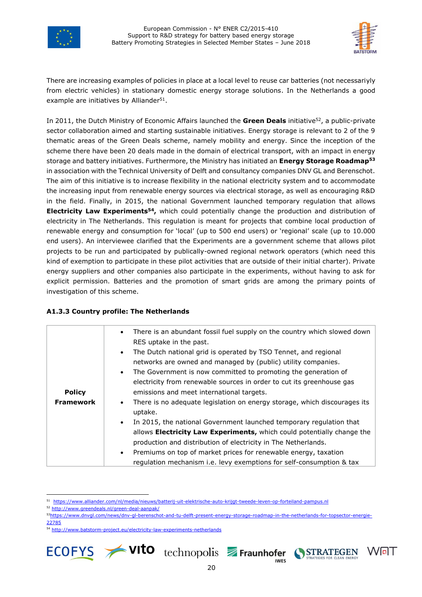



**STRATEGEN** 

There are increasing examples of policies in place at a local level to reuse car batteries (not necessariyly from electric vehicles) in stationary domestic energy storage solutions. In the Netherlands a good example are initiatives by Alliander<sup>51</sup>.

In 2011, the Dutch Ministry of Economic Affairs launched the Green Deals initiative<sup>52</sup>, a public-private sector collaboration aimed and starting sustainable initiatives. Energy storage is relevant to 2 of the 9 thematic areas of the Green Deals scheme, namely mobility and energy. Since the inception of the scheme there have been 20 deals made in the domain of electrical transport, with an impact in energy storage and battery initiatives. Furthermore, the Ministry has initiated an **Energy Storage Roadmap<sup>53</sup>** in association with the Technical University of Delft and consultancy companies DNV GL and Berenschot. The aim of this initiative is to increase flexibility in the national electricity system and to accommodate the increasing input from renewable energy sources via electrical storage, as well as encouraging R&D in the field. Finally, in 2015, the national Government launched temporary regulation that allows **Electricity Law Experiments<sup>54</sup>,** which could potentially change the production and distribution of electricity in The Netherlands. This regulation is meant for projects that combine local production of renewable energy and consumption for 'local' (up to 500 end users) or 'regional' scale (up to 10.000 end users). An interviewee clarified that the Experiments are a government scheme that allows pilot projects to be run and participated by publically-owned regional network operators (which need this kind of exemption to participate in these pilot activities that are outside of their initial charter). Private energy suppliers and other companies also participate in the experiments, without having to ask for explicit permission. Batteries and the promotion of smart grids are among the primary points of investigation of this scheme.

#### **A1.3.3 Country profile: The Netherlands**

|                                                                                                                                                            | There is an abundant fossil fuel supply on the country which slowed down<br>RES uptake in the past. |  |  |  |
|------------------------------------------------------------------------------------------------------------------------------------------------------------|-----------------------------------------------------------------------------------------------------|--|--|--|
|                                                                                                                                                            | The Dutch national grid is operated by TSO Tennet, and regional                                     |  |  |  |
|                                                                                                                                                            | networks are owned and managed by (public) utility companies.                                       |  |  |  |
|                                                                                                                                                            | The Government is now committed to promoting the generation of<br>$\bullet$                         |  |  |  |
|                                                                                                                                                            | electricity from renewable sources in order to cut its greenhouse gas                               |  |  |  |
| <b>Policy</b>                                                                                                                                              | emissions and meet international targets.                                                           |  |  |  |
| <b>Framework</b>                                                                                                                                           | There is no adequate legislation on energy storage, which discourages its<br>$\bullet$<br>uptake.   |  |  |  |
| In 2015, the national Government launched temporary regulation that<br>$\bullet$<br>allows Electricity Law Experiments, which could potentially change the |                                                                                                     |  |  |  |
|                                                                                                                                                            |                                                                                                     |  |  |  |
|                                                                                                                                                            | Premiums on top of market prices for renewable energy, taxation<br>$\bullet$                        |  |  |  |
|                                                                                                                                                            | regulation mechanism i.e. levy exemptions for self-consumption & tax                                |  |  |  |

<sup>54</sup> <http://www.batstorm-project.eu/electricity-law-experiments-netherlands>



ł

<sup>51</sup> <https://www.alliander.com/nl/media/nieuws/batterij-uit-elektrische-auto-krijgt-tweede-leven-op-forteiland-pampus.nl>

<sup>52</sup> <http://www.greendeals.nl/green-deal-aanpak/>

<sup>53</sup>[https://www.dnvgl.com/news/dnv-gl-berenschot-and-tu-delft-present-energy-storage-roadmap-in-the-netherlands-for-topsector-energie-](https://www.dnvgl.com/news/dnv-gl-berenschot-and-tu-delft-present-energy-storage-roadmap-in-the-netherlands-for-topsector-energie-22785)[22785](https://www.dnvgl.com/news/dnv-gl-berenschot-and-tu-delft-present-energy-storage-roadmap-in-the-netherlands-for-topsector-energie-22785)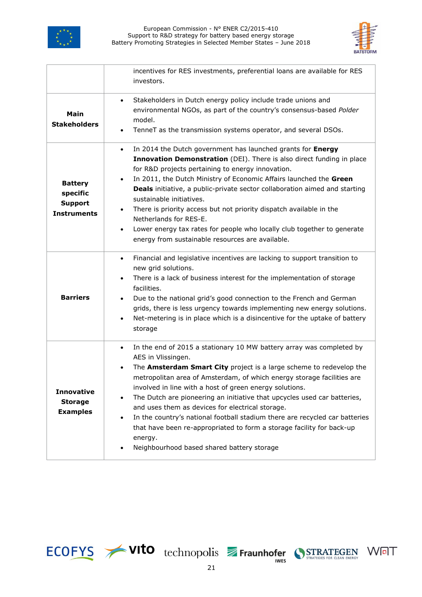



|                                                                    | incentives for RES investments, preferential loans are available for RES<br>investors.                                                                                                                                                                                                                                                                                                                                                                                                                                                                                                                                                                                                         |
|--------------------------------------------------------------------|------------------------------------------------------------------------------------------------------------------------------------------------------------------------------------------------------------------------------------------------------------------------------------------------------------------------------------------------------------------------------------------------------------------------------------------------------------------------------------------------------------------------------------------------------------------------------------------------------------------------------------------------------------------------------------------------|
| Main<br><b>Stakeholders</b>                                        | Stakeholders in Dutch energy policy include trade unions and<br>$\bullet$<br>environmental NGOs, as part of the country's consensus-based Polder<br>model.<br>TenneT as the transmission systems operator, and several DSOs.<br>$\bullet$                                                                                                                                                                                                                                                                                                                                                                                                                                                      |
| <b>Battery</b><br>specific<br><b>Support</b><br><b>Instruments</b> | In 2014 the Dutch government has launched grants for Energy<br>$\bullet$<br>Innovation Demonstration (DEI). There is also direct funding in place<br>for R&D projects pertaining to energy innovation.<br>In 2011, the Dutch Ministry of Economic Affairs launched the Green<br>$\bullet$<br>Deals initiative, a public-private sector collaboration aimed and starting<br>sustainable initiatives.<br>There is priority access but not priority dispatch available in the<br>Netherlands for RES-E.<br>Lower energy tax rates for people who locally club together to generate<br>$\bullet$<br>energy from sustainable resources are available.                                               |
| <b>Barriers</b>                                                    | Financial and legislative incentives are lacking to support transition to<br>$\bullet$<br>new grid solutions.<br>There is a lack of business interest for the implementation of storage<br>$\bullet$<br>facilities.<br>Due to the national grid's good connection to the French and German<br>grids, there is less urgency towards implementing new energy solutions.<br>Net-metering is in place which is a disincentive for the uptake of battery<br>$\bullet$<br>storage                                                                                                                                                                                                                    |
| <b>Innovative</b><br><b>Storage</b><br><b>Examples</b>             | In the end of 2015 a stationary 10 MW battery array was completed by<br>$\bullet$<br>AES in Vlissingen.<br>The Amsterdam Smart City project is a large scheme to redevelop the<br>metropolitan area of Amsterdam, of which energy storage facilities are<br>involved in line with a host of green energy solutions.<br>The Dutch are pioneering an initiative that upcycles used car batteries,<br>$\bullet$<br>and uses them as devices for electrical storage.<br>In the country's national football stadium there are recycled car batteries<br>$\bullet$<br>that have been re-appropriated to form a storage facility for back-up<br>energy.<br>Neighbourhood based shared battery storage |

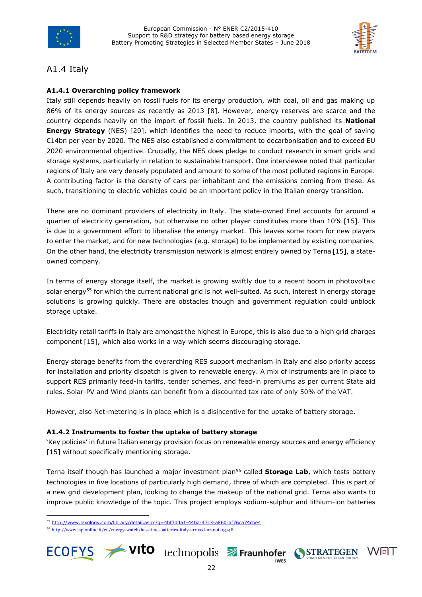



STRATEGEN

### <span id="page-24-0"></span>A1.4 Italy

### **A1.4.1 Overarching policy framework**

Italy still depends heavily on fossil fuels for its energy production, with coal, oil and gas making up 86% of its energy sources as recently as 2013 [8]. However, energy reserves are scarce and the country depends heavily on the import of fossil fuels. In 2013, the country published its **National Energy Strategy** (NES) [20], which identifies the need to reduce imports, with the goal of saving €14bn per year by 2020. The NES also established a commitment to decarbonisation and to exceed EU 2020 environmental objective. Crucially, the NES does pledge to conduct research in smart grids and storage systems, particularly in relation to sustainable transport. One interviewee noted that particular regions of Italy are very densely populated and amount to some of the most polluted regions in Europe. A contributing factor is the density of cars per inhabitant and the emissions coming from these. As such, transitioning to electric vehicles could be an important policy in the Italian energy transition.

There are no dominant providers of electricity in Italy. The state-owned Enel accounts for around a quarter of electricity generation, but otherwise no other player constitutes more than 10% [15]. This is due to a government effort to liberalise the energy market. This leaves some room for new players to enter the market, and for new technologies (e.g. storage) to be implemented by existing companies. On the other hand, the electricity transmission network is almost entirely owned by Terna [15], a stateowned company.

In terms of energy storage itself, the market is growing swiftly due to a recent boom in photovoltaic solar energy<sup>55</sup> for which the current national grid is not well-suited. As such, interest in energy storage solutions is growing quickly. There are obstacles though and government regulation could unblock storage uptake.

Electricity retail tariffs in Italy are amongst the highest in Europe, this is also due to a high grid charges component [15], which also works in a way which seems discouraging storage.

Energy storage benefits from the overarching RES support mechanism in Italy and also priority access for installation and priority dispatch is given to renewable energy. A mix of instruments are in place to support RES primarily feed-in tariffs, tender schemes, and feed-in premiums as per current State aid rules. Solar-PV and Wind plants can benefit from a discounted tax rate of only 50% of the VAT.

However, also Net-metering is in place which is a disincentive for the uptake of battery storage.

### **A1.4.2 Instruments to foster the uptake of battery storage**

'Key policies' in future Italian energy provision focus on renewable energy sources and energy efficiency [15] without specifically mentioning storage.

Terna itself though has launched a major investment plan<sup>56</sup> called **Storage Lab**, which tests battery technologies in five locations of particularly high demand, three of which are completed. This is part of a new grid development plan, looking to change the makeup of the national grid. Terna also wants to improve public knowledge of the topic. This project employs sodium-sulphur and lithium-ion batteries

<sup>56</sup> <http://www.ispionline.it/en/energy-watch/has-time-batteries-italy-arrived-or-not-13748>



ł



<sup>55</sup> <http://www.lexology.com/library/detail.aspx?g=4bf3dda1-44ba-47c3-a860-af76ca74cbe4>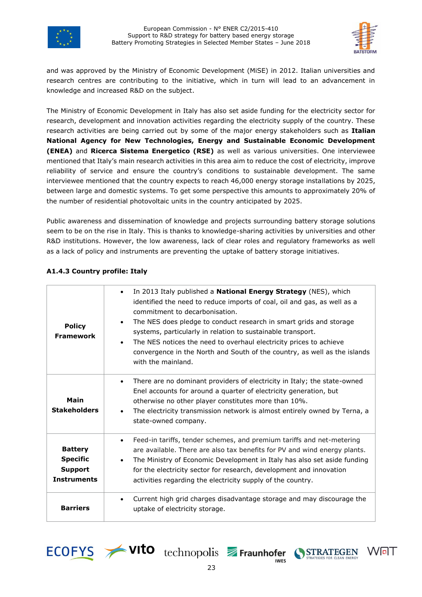



and was approved by the Ministry of Economic Development (MiSE) in 2012. Italian universities and research centres are contributing to the initiative, which in turn will lead to an advancement in knowledge and increased R&D on the subject.

The Ministry of Economic Development in Italy has also set aside funding for the electricity sector for research, development and innovation activities regarding the electricity supply of the country. These research activities are being carried out by some of the major energy stakeholders such as **Italian National Agency for New Technologies, Energy and Sustainable Economic Development (ENEA)** and **Ricerca Sistema Energetico (RSE)** as well as various universities. One interviewee mentioned that Italy's main research activities in this area aim to reduce the cost of electricity, improve reliability of service and ensure the country's conditions to sustainable development. The same interviewee mentioned that the country expects to reach 46,000 energy storage installations by 2025, between large and domestic systems. To get some perspective this amounts to approximately 20% of the number of residential photovoltaic units in the country anticipated by 2025.

Public awareness and dissemination of knowledge and projects surrounding battery storage solutions seem to be on the rise in Italy. This is thanks to knowledge-sharing activities by universities and other R&D institutions. However, the low awareness, lack of clear roles and regulatory frameworks as well as a lack of policy and instruments are preventing the uptake of battery storage initiatives.

| <b>Policy</b><br><b>Framework</b>                                         | In 2013 Italy published a National Energy Strategy (NES), which<br>$\bullet$<br>identified the need to reduce imports of coal, oil and gas, as well as a<br>commitment to decarbonisation.<br>The NES does pledge to conduct research in smart grids and storage<br>$\bullet$<br>systems, particularly in relation to sustainable transport.                                                   |
|---------------------------------------------------------------------------|------------------------------------------------------------------------------------------------------------------------------------------------------------------------------------------------------------------------------------------------------------------------------------------------------------------------------------------------------------------------------------------------|
|                                                                           | The NES notices the need to overhaul electricity prices to achieve<br>$\bullet$<br>convergence in the North and South of the country, as well as the islands<br>with the mainland.                                                                                                                                                                                                             |
| Main<br><b>Stakeholders</b>                                               | There are no dominant providers of electricity in Italy; the state-owned<br>$\bullet$<br>Enel accounts for around a quarter of electricity generation, but<br>otherwise no other player constitutes more than 10%.<br>The electricity transmission network is almost entirely owned by Terna, a<br>state-owned company.                                                                        |
| <b>Battery</b><br><b>Specific</b><br><b>Support</b><br><b>Instruments</b> | Feed-in tariffs, tender schemes, and premium tariffs and net-metering<br>$\bullet$<br>are available. There are also tax benefits for PV and wind energy plants.<br>The Ministry of Economic Development in Italy has also set aside funding<br>$\bullet$<br>for the electricity sector for research, development and innovation<br>activities regarding the electricity supply of the country. |
| <b>Barriers</b>                                                           | Current high grid charges disadvantage storage and may discourage the<br>uptake of electricity storage.                                                                                                                                                                                                                                                                                        |

### **A1.4.3 Country profile: Italy**



23

STRATEGEN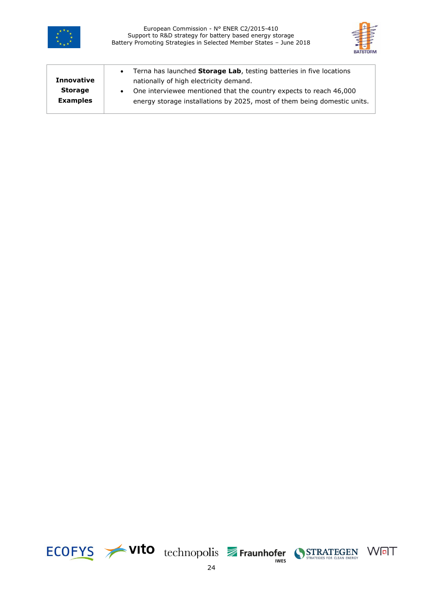



|                   | • Terna has launched Storage Lab, testing batteries in five locations    |  |  |
|-------------------|--------------------------------------------------------------------------|--|--|
| <b>Innovative</b> | nationally of high electricity demand.                                   |  |  |
| <b>Storage</b>    | One interviewee mentioned that the country expects to reach 46,000       |  |  |
| <b>Examples</b>   | energy storage installations by 2025, most of them being domestic units. |  |  |
|                   |                                                                          |  |  |



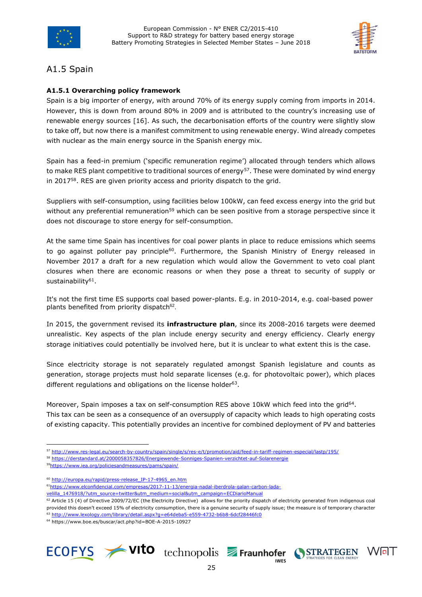



### <span id="page-27-0"></span>A1.5 Spain

### **A1.5.1 Overarching policy framework**

Spain is a big importer of energy, with around 70% of its energy supply coming from imports in 2014. However, this is down from around 80% in 2009 and is attributed to the country's increasing use of renewable energy sources [16]. As such, the decarbonisation efforts of the country were slightly slow to take off, but now there is a manifest commitment to using renewable energy. Wind already competes with nuclear as the main energy source in the Spanish energy mix.

Spain has a feed-in premium ('specific remuneration regime') allocated through tenders which allows to make RES plant competitive to traditional sources of energy<sup>57</sup>. These were dominated by wind energy in 2017<sup>58</sup>. RES are given priority access and priority dispatch to the grid.

Suppliers with self-consumption, using facilities below 100kW, can feed excess energy into the grid but without any preferential remuneration<sup>59</sup> which can be seen positive from a storage perspective since it does not discourage to store energy for self-consumption.

At the same time Spain has incentives for coal power plants in place to reduce emissions which seems to go against polluter pay principle<sup>60</sup>. Furthermore, the Spanish Ministry of Energy released in November 2017 a draft for a new regulation which would allow the Government to veto coal plant closures when there are economic reasons or when they pose a threat to security of supply or sustainability<sup>61</sup>.

It's not the first time ES supports coal based power-plants. E.g. in 2010-2014, e.g. coal-based power plants benefited from priority dispatch<sup>62</sup>.

In 2015, the government revised its **infrastructure plan**, since its 2008-2016 targets were deemed unrealistic. Key aspects of the plan include energy security and energy efficiency. Clearly energy storage initiatives could potentially be involved here, but it is unclear to what extent this is the case.

Since electricity storage is not separately regulated amongst Spanish legislature and counts as generation, storage projects must hold separate licenses (e.g. for photovoltaic power), which places different regulations and obligations on the license holder<sup>63</sup>.

Moreover, Spain imposes a tax on self-consumption RES above 10kW which feed into the grid<sup>64</sup>. This tax can be seen as a consequence of an oversupply of capacity which leads to high operating costs of existing capacity. This potentially provides an incentive for combined deployment of PV and batteries

ł

<sup>60</sup> [http://europa.eu/rapid/press-release\\_IP-17-4965\\_en.htm](http://europa.eu/rapid/press-release_IP-17-4965_en.htm)

61[https://www.elconfidencial.com/empresas/2017-11-13/energia-nadal-iberdrola-galan-carbon-lada-](https://www.elconfidencial.com/empresas/2017-11-13/energia-nadal-iberdrola-galan-carbon-lada-velilla_1476918/?utm_source=twitter&utm_medium=social&utm_campaign=ECDiarioManual)

[velilla\\_1476918/?utm\\_source=twitter&utm\\_medium=social&utm\\_campaign=ECDiarioManual](https://www.elconfidencial.com/empresas/2017-11-13/energia-nadal-iberdrola-galan-carbon-lada-velilla_1476918/?utm_source=twitter&utm_medium=social&utm_campaign=ECDiarioManual)

<sup>64</sup> https://www.boe.es/buscar/act.php?id=BOE-A-2015-10927



STRATEGEN

<sup>57</sup> <http://www.res-legal.eu/search-by-country/spain/single/s/res-e/t/promotion/aid/feed-in-tariff-regimen-especial/lastp/195/>

<sup>58</sup> <https://derstandard.at/2000058357826/Energiewende-Sonniges-Spanien-verzichtet-auf-Solarenergie>

<sup>59</sup><https://www.iea.org/policiesandmeasures/pams/spain/>

 $62$  Article 15 (4) of Directive 2009/72/EC (the Electricity Directive) allows for the priority dispatch of electricity generated from indigenous coal provided this doesn't exceed 15% of electricity consumption, there is a genuine security of supply issue; the measure is of temporary character <sup>63</sup> <http://www.lexology.com/library/detail.aspx?g=e64deba5-e559-4732-b6b8-6dcf28446fc0>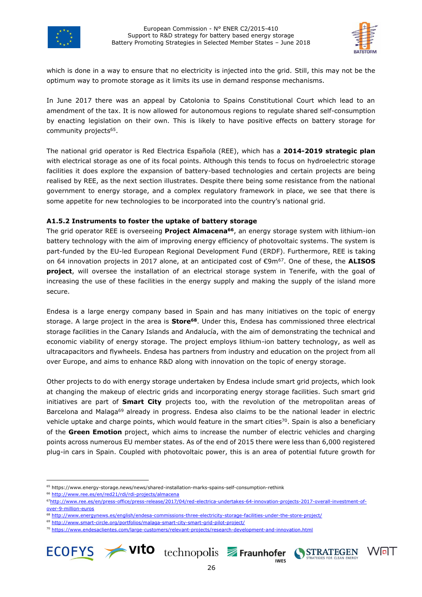



which is done in a way to ensure that no electricity is injected into the grid. Still, this may not be the optimum way to promote storage as it limits its use in demand response mechanisms.

In June 2017 there was an appeal by Catolonia to Spains Constitutional Court which lead to an amendment of the tax. It is now allowed for autonomous regions to regulate shared self-consumption by enacting legislation on their own. This is likely to have positive effects on battery storage for community projects<sup>65</sup>.

The national grid operator is Red Electrica Española (REE), which has a **2014-2019 strategic plan**  with electrical storage as one of its focal points. Although this tends to focus on hydroelectric storage facilities it does explore the expansion of battery-based technologies and certain projects are being realised by REE, as the next section illustrates. Despite there being some resistance from the national government to energy storage, and a complex regulatory framework in place, we see that there is some appetite for new technologies to be incorporated into the country's national grid.

#### **A1.5.2 Instruments to foster the uptake of battery storage**

<span id="page-28-0"></span>The grid operator REE is overseeing **Project Almacena<sup>66</sup>**, an energy storage system with lithium-ion battery technology with the aim of improving energy efficiency of photovoltaic systems. The system is part-funded by the EU-led European Regional Development Fund (ERDF). Furthermore, REE is taking on 64 innovation projects in 2017 alone, at an anticipated cost of €9m<sup>67</sup>. One of these, the **ALISOS project**, will oversee the installation of an electrical storage system in Tenerife, with the goal of increasing the use of these facilities in the energy supply and making the supply of the island more secure.

<span id="page-28-1"></span>Endesa is a large energy company based in Spain and has many initiatives on the topic of energy storage. A large project in the area is **Store<sup>68</sup>**. Under this, Endesa has commissioned three electrical storage facilities in the Canary Islands and Andalucía, with the aim of demonstrating the technical and economic viability of energy storage. The project employs lithium-ion battery technology, as well as ultracapacitors and flywheels. Endesa has partners from industry and education on the project from all over Europe, and aims to enhance R&D along with innovation on the topic of energy storage.

Other projects to do with energy storage undertaken by Endesa include smart grid projects, which look at changing the makeup of electric grids and incorporating energy storage facilities. Such smart grid initiatives are part of **Smart City** projects too, with the revolution of the metropolitan areas of Barcelona and Malaga<sup>69</sup> already in progress. Endesa also claims to be the national leader in electric vehicle uptake and charge points, which would feature in the smart cities<sup>70</sup>. Spain is also a beneficiary of the **Green Emotion** project, which aims to increase the number of electric vehicles and charging points across numerous EU member states. As of the end of 2015 there were less than 6,000 registered plug-in cars in Spain. Coupled with photovoltaic power, this is an area of potential future growth for

ł

<sup>70</sup> <https://www.endesaclientes.com/large-customers/relevant-projects/research-development-and-innovation.html>



STRATEGEN

<sup>65</sup> https://www.energy-storage.news/news/shared-installation-marks-spains-self-consumption-rethink

<sup>66</sup> <http://www.ree.es/en/red21/rdi/rdi-projects/almacena>

<sup>67</sup>[http://www.ree.es/en/press-office/press-release/2017/04/red-electrica-undertakes-64-innovation-projects-2017-overall-investment-of](http://www.ree.es/en/press-office/press-release/2017/04/red-electrica-undertakes-64-innovation-projects-2017-overall-investment-of-over-9-million-euros)[over-9-million-euros](http://www.ree.es/en/press-office/press-release/2017/04/red-electrica-undertakes-64-innovation-projects-2017-overall-investment-of-over-9-million-euros)

<sup>68</sup> <http://www.energynews.es/english/endesa-commissions-three-electricity-storage-facilities-under-the-store-project/>

<sup>69</sup> <http://www.smart-circle.org/portfolios/malaga-smart-city-smart-grid-pilot-project/>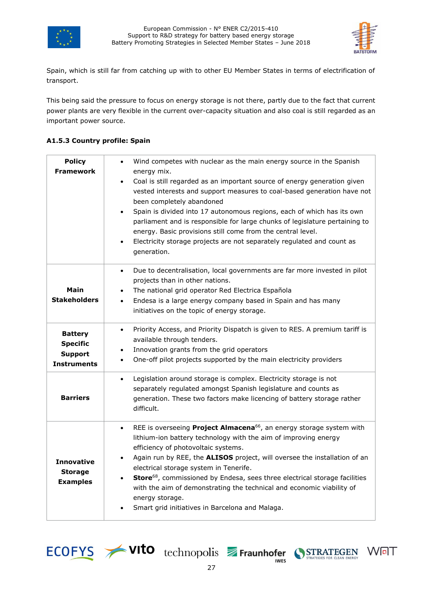



Spain, which is still far from catching up with to other EU Member States in terms of electrification of transport.

This being said the pressure to focus on energy storage is not there, partly due to the fact that current power plants are very flexible in the current over-capacity situation and also coal is still regarded as an important power source.

### **A1.5.3 Country profile: Spain**

| <b>Policy</b><br><b>Framework</b>                                         | Wind competes with nuclear as the main energy source in the Spanish<br>energy mix.<br>Coal is still regarded as an important source of energy generation given<br>$\bullet$<br>vested interests and support measures to coal-based generation have not<br>been completely abandoned<br>Spain is divided into 17 autonomous regions, each of which has its own<br>$\bullet$<br>parliament and is responsible for large chunks of legislature pertaining to<br>energy. Basic provisions still come from the central level.<br>Electricity storage projects are not separately regulated and count as<br>$\bullet$<br>generation. |
|---------------------------------------------------------------------------|--------------------------------------------------------------------------------------------------------------------------------------------------------------------------------------------------------------------------------------------------------------------------------------------------------------------------------------------------------------------------------------------------------------------------------------------------------------------------------------------------------------------------------------------------------------------------------------------------------------------------------|
| Main<br><b>Stakeholders</b>                                               | Due to decentralisation, local governments are far more invested in pilot<br>$\bullet$<br>projects than in other nations.<br>The national grid operator Red Electrica Española<br>$\bullet$<br>Endesa is a large energy company based in Spain and has many<br>$\bullet$<br>initiatives on the topic of energy storage.                                                                                                                                                                                                                                                                                                        |
| <b>Battery</b><br><b>Specific</b><br><b>Support</b><br><b>Instruments</b> | Priority Access, and Priority Dispatch is given to RES. A premium tariff is<br>$\bullet$<br>available through tenders.<br>Innovation grants from the grid operators<br>$\bullet$<br>One-off pilot projects supported by the main electricity providers<br>$\bullet$                                                                                                                                                                                                                                                                                                                                                            |
| <b>Barriers</b>                                                           | Legislation around storage is complex. Electricity storage is not<br>$\bullet$<br>separately regulated amongst Spanish legislature and counts as<br>generation. These two factors make licencing of battery storage rather<br>difficult.                                                                                                                                                                                                                                                                                                                                                                                       |
| <b>Innovative</b><br><b>Storage</b><br><b>Examples</b>                    | REE is overseeing Project Almacena <sup>66</sup> , an energy storage system with<br>$\bullet$<br>lithium-ion battery technology with the aim of improving energy<br>efficiency of photovoltaic systems.<br>Again run by REE, the ALISOS project, will oversee the installation of an<br>$\bullet$<br>electrical storage system in Tenerife.<br>Store <sup>68</sup> , commissioned by Endesa, sees three electrical storage facilities<br>with the aim of demonstrating the technical and economic viability of<br>energy storage.<br>Smart grid initiatives in Barcelona and Malaga.                                           |



**IWES**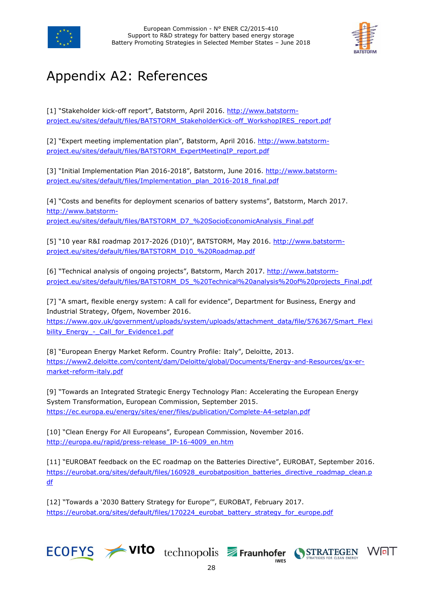



# <span id="page-30-0"></span>Appendix A2: References

[1] "Stakeholder kick-off report", Batstorm, April 2016. [http://www.batstorm](http://www.batstorm-project.eu/sites/default/files/BATSTORM_StakeholderKick-off_WorkshopIRES_report.pdf)[project.eu/sites/default/files/BATSTORM\\_StakeholderKick-off\\_WorkshopIRES\\_report.pdf](http://www.batstorm-project.eu/sites/default/files/BATSTORM_StakeholderKick-off_WorkshopIRES_report.pdf)

[2] "Expert meeting implementation plan", Batstorm, April 2016. [http://www.batstorm](http://www.batstorm-project.eu/sites/default/files/BATSTORM_ExpertMeetingIP_report.pdf)[project.eu/sites/default/files/BATSTORM\\_ExpertMeetingIP\\_report.pdf](http://www.batstorm-project.eu/sites/default/files/BATSTORM_ExpertMeetingIP_report.pdf)

[3] "Initial Implementation Plan 2016-2018", Batstorm, June 2016. [http://www.batstorm](http://www.batstorm-project.eu/sites/default/files/Implementation_plan_2016-2018_final.pdf)[project.eu/sites/default/files/Implementation\\_plan\\_2016-2018\\_final.pdf](http://www.batstorm-project.eu/sites/default/files/Implementation_plan_2016-2018_final.pdf)

[4] "Costs and benefits for deployment scenarios of battery systems", Batstorm, March 2017. [http://www.batstorm](http://www.batstorm-project.eu/sites/default/files/BATSTORM_D7_%20SocioEconomicAnalysis_Final.pdf)[project.eu/sites/default/files/BATSTORM\\_D7\\_%20SocioEconomicAnalysis\\_Final.pdf](http://www.batstorm-project.eu/sites/default/files/BATSTORM_D7_%20SocioEconomicAnalysis_Final.pdf)

[5] "10 year R&I roadmap 2017-2026 (D10)", BATSTORM, May 2016. [http://www.batstorm](http://www.batstorm-project.eu/sites/default/files/BATSTORM_D10_%20Roadmap.pdf)[project.eu/sites/default/files/BATSTORM\\_D10\\_%20Roadmap.pdf](http://www.batstorm-project.eu/sites/default/files/BATSTORM_D10_%20Roadmap.pdf)

[6] "Technical analysis of ongoing projects", Batstorm, March 2017. [http://www.batstorm](http://www.batstorm-project.eu/sites/default/files/BATSTORM_D5_%20Technical%20analysis%20of%20projects_Final.pdf)[project.eu/sites/default/files/BATSTORM\\_D5\\_%20Technical%20analysis%20of%20projects\\_Final.pdf](http://www.batstorm-project.eu/sites/default/files/BATSTORM_D5_%20Technical%20analysis%20of%20projects_Final.pdf)

[7] "A smart, flexible energy system: A call for evidence", Department for Business, Energy and Industrial Strategy, Ofgem, November 2016. [https://www.gov.uk/government/uploads/system/uploads/attachment\\_data/file/576367/Smart\\_Flexi](https://www.gov.uk/government/uploads/system/uploads/attachment_data/file/576367/Smart_Flexibility_Energy_-_Call_for_Evidence1.pdf) bility\_Energy - Call\_for\_Evidence1.pdf

[8] "European Energy Market Reform. Country Profile: Italy", Deloitte, 2013. [https://www2.deloitte.com/content/dam/Deloitte/global/Documents/Energy-and-Resources/gx-er](https://www2.deloitte.com/content/dam/Deloitte/global/Documents/Energy-and-Resources/gx-er-market-reform-italy.pdf)[market-reform-italy.pdf](https://www2.deloitte.com/content/dam/Deloitte/global/Documents/Energy-and-Resources/gx-er-market-reform-italy.pdf)

[9] "Towards an Integrated Strategic Energy Technology Plan: Accelerating the European Energy System Transformation, European Commission, September 2015. <https://ec.europa.eu/energy/sites/ener/files/publication/Complete-A4-setplan.pdf>

[10] "Clean Energy For All Europeans", European Commission, November 2016. [http://europa.eu/rapid/press-release\\_IP-16-4009\\_en.htm](http://europa.eu/rapid/press-release_IP-16-4009_en.htm)

[11] "EUROBAT feedback on the EC roadmap on the Batteries Directive", EUROBAT, September 2016. [https://eurobat.org/sites/default/files/160928\\_eurobatposition\\_batteries\\_directive\\_roadmap\\_clean.p](https://eurobat.org/sites/default/files/160928_eurobatposition_batteries_directive_roadmap_clean.pdf) [df](https://eurobat.org/sites/default/files/160928_eurobatposition_batteries_directive_roadmap_clean.pdf)

[12] "Towards a '2030 Battery Strategy for Europe'", EUROBAT, February 2017. [https://eurobat.org/sites/default/files/170224\\_eurobat\\_battery\\_strategy\\_for\\_europe.pdf](https://eurobat.org/sites/default/files/170224_eurobat_battery_strategy_for_europe.pdf)



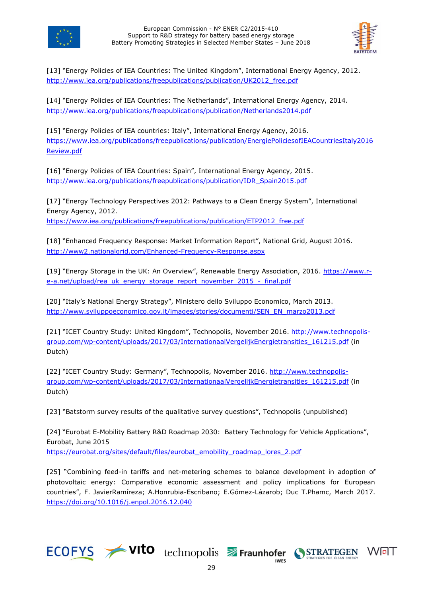



[13] "Energy Policies of IEA Countries: The United Kingdom", International Energy Agency, 2012. [http://www.iea.org/publications/freepublications/publication/UK2012\\_free.pdf](http://www.iea.org/publications/freepublications/publication/UK2012_free.pdf)

[14] "Energy Policies of IEA Countries: The Netherlands", International Energy Agency, 2014. <http://www.iea.org/publications/freepublications/publication/Netherlands2014.pdf>

[15] "Energy Policies of IEA countries: Italy", International Energy Agency, 2016. [https://www.iea.org/publications/freepublications/publication/EnergiePoliciesofIEACountriesItaly2016](https://www.iea.org/publications/freepublications/publication/EnergiePoliciesofIEACountriesItaly2016Review.pdf) [Review.pdf](https://www.iea.org/publications/freepublications/publication/EnergiePoliciesofIEACountriesItaly2016Review.pdf)

[16] "Energy Policies of IEA Countries: Spain", International Energy Agency, 2015. [http://www.iea.org/publications/freepublications/publication/IDR\\_Spain2015.pdf](http://www.iea.org/publications/freepublications/publication/IDR_Spain2015.pdf)

[17] "Energy Technology Perspectives 2012: Pathways to a Clean Energy System", International Energy Agency, 2012. [https://www.iea.org/publications/freepublications/publication/ETP2012\\_free.pdf](https://www.iea.org/publications/freepublications/publication/ETP2012_free.pdf)

[18] "Enhanced Frequency Response: Market Information Report", National Grid, August 2016. <http://www2.nationalgrid.com/Enhanced-Frequency-Response.aspx>

[19] "Energy Storage in the UK: An Overview", Renewable Energy Association, 2016. [https://www.r](https://www.r-e-a.net/upload/rea_uk_energy_storage_report_november_2015_-_final.pdf)[e-a.net/upload/rea\\_uk\\_energy\\_storage\\_report\\_november\\_2015\\_-\\_final.pdf](https://www.r-e-a.net/upload/rea_uk_energy_storage_report_november_2015_-_final.pdf)

[20] "Italy's National Energy Strategy", Ministero dello Sviluppo Economico, March 2013. [http://www.sviluppoeconomico.gov.it/images/stories/documenti/SEN\\_EN\\_marzo2013.pdf](http://www.sviluppoeconomico.gov.it/images/stories/documenti/SEN_EN_marzo2013.pdf)

[21] "ICET Country Study: United Kingdom", Technopolis, November 2016. [http://www.technopolis](http://www.technopolis-group.com/wp-content/uploads/2017/03/InternationaalVergelijkEnergietransities_161215.pdf)[group.com/wp-content/uploads/2017/03/InternationaalVergelijkEnergietransities\\_161215.pdf](http://www.technopolis-group.com/wp-content/uploads/2017/03/InternationaalVergelijkEnergietransities_161215.pdf) (in Dutch)

[22] "ICET Country Study: Germany", Technopolis, November 2016. [http://www.technopolis](http://www.technopolis-group.com/wp-content/uploads/2017/03/InternationaalVergelijkEnergietransities_161215.pdf)[group.com/wp-content/uploads/2017/03/InternationaalVergelijkEnergietransities\\_161215.pdf](http://www.technopolis-group.com/wp-content/uploads/2017/03/InternationaalVergelijkEnergietransities_161215.pdf) (in Dutch)

[23] "Batstorm survey results of the qualitative survey questions", Technopolis (unpublished)

[24] "Eurobat E-Mobility Battery R&D Roadmap 2030: Battery Technology for Vehicle Applications", Eurobat, June 2015

[https://eurobat.org/sites/default/files/eurobat\\_emobility\\_roadmap\\_lores\\_2.pdf](https://eurobat.org/sites/default/files/eurobat_emobility_roadmap_lores_2.pdf)

[25] "Combining feed-in tariffs and net-metering schemes to balance development in adoption of photovoltaic energy: Comparative economic assessment and policy implications for European countries", F. JavierRamíreza; A.Honrubia-Escribano; E.Gómez-Lázarob; Duc T.Phamc, March 2017. <https://doi.org/10.1016/j.enpol.2016.12.040>



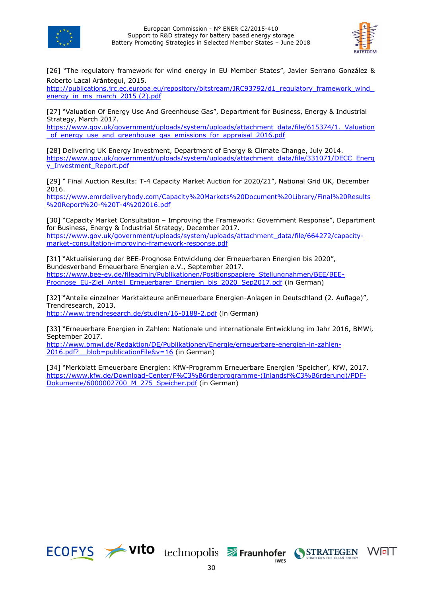



[26] "The regulatory framework for wind energy in EU Member States", Javier Serrano González & Roberto Lacal Arántegui, 2015.

[http://publications.jrc.ec.europa.eu/repository/bitstream/JRC93792/d1\\_regulatory\\_framework\\_wind\\_](http://publications.jrc.ec.europa.eu/repository/bitstream/JRC93792/d1_regulatory_framework_wind_energy_in_ms_march_2015%20(2).pdf) energy in ms march 2015 (2).pdf

[27] "Valuation Of Energy Use And Greenhouse Gas", Department for Business, Energy & Industrial Strategy, March 2017.

https://www.gov.uk/government/uploads/system/uploads/attachment\_data/file/615374/1. Valuation of energy use and greenhouse gas emissions for appraisal 2016.pdf

[28] Delivering UK Energy Investment, Department of Energy & Climate Change, July 2014. [https://www.gov.uk/government/uploads/system/uploads/attachment\\_data/file/331071/DECC\\_Energ](https://www.gov.uk/government/uploads/system/uploads/attachment_data/file/331071/DECC_Energy_Investment_Report.pdf) [y\\_Investment\\_Report.pdf](https://www.gov.uk/government/uploads/system/uploads/attachment_data/file/331071/DECC_Energy_Investment_Report.pdf)

[29] " Final Auction Results: T-4 Capacity Market Auction for 2020/21", National Grid UK, December 2016.

[https://www.emrdeliverybody.com/Capacity%20Markets%20Document%20Library/Final%20Results](https://www.emrdeliverybody.com/Capacity%20Markets%20Document%20Library/Final%20Results%20Report%20-%20T-4%202016.pdf) [%20Report%20-%20T-4%202016.pdf](https://www.emrdeliverybody.com/Capacity%20Markets%20Document%20Library/Final%20Results%20Report%20-%20T-4%202016.pdf)

[30] "Capacity Market Consultation – Improving the Framework: Government Response", Department for Business, Energy & Industrial Strategy, December 2017. [https://www.gov.uk/government/uploads/system/uploads/attachment\\_data/file/664272/capacity](https://www.gov.uk/government/uploads/system/uploads/attachment_data/file/664272/capacity-market-consultation-improving-framework-response.pdf)[market-consultation-improving-framework-response.pdf](https://www.gov.uk/government/uploads/system/uploads/attachment_data/file/664272/capacity-market-consultation-improving-framework-response.pdf)

[31] "Aktualisierung der BEE-Prognose Entwicklung der Erneuerbaren Energien bis 2020", Bundesverband Erneuerbare Energien e.V., September 2017. [https://www.bee-ev.de/fileadmin/Publikationen/Positionspapiere\\_Stellungnahmen/BEE/BEE-](https://www.bee-ev.de/fileadmin/Publikationen/Positionspapiere_Stellungnahmen/BEE/BEE-Prognose_EU-Ziel_Anteil_Erneuerbarer_Energien_bis_2020_Sep2017.pdf)Prognose EU-Ziel Anteil Erneuerbarer Energien bis 2020 Sep2017.pdf (in German)

[32] "Anteile einzelner Marktakteure anErneuerbare Energien-Anlagen in Deutschland (2. Auflage)", Trendresearch, 2013. <http://www.trendresearch.de/studien/16-0188-2.pdf> (in German)

[33] "Erneuerbare Energien in Zahlen: Nationale und internationale Entwicklung im Jahr 2016, BMWi, September 2017.

[http://www.bmwi.de/Redaktion/DE/Publikationen/Energie/erneuerbare-energien-in-zahlen-](http://www.bmwi.de/Redaktion/DE/Publikationen/Energie/erneuerbare-energien-in-zahlen-2016.pdf?__blob=publicationFile&v=16)2016.pdf? blob=publicationFile&v=16 (in German)

[34] "Merkblatt Erneuerbare Energien: KfW-Programm Erneuerbare Energien 'Speicher', KfW, 2017. [https://www.kfw.de/Download-Center/F%C3%B6rderprogramme-\(Inlandsf%C3%B6rderung\)/PDF-](https://www.kfw.de/Download-Center/F%C3%B6rderprogramme-(Inlandsf%C3%B6rderung)/PDF-Dokumente/6000002700_M_275_Speicher.pdf)[Dokumente/6000002700\\_M\\_275\\_Speicher.pdf](https://www.kfw.de/Download-Center/F%C3%B6rderprogramme-(Inlandsf%C3%B6rderung)/PDF-Dokumente/6000002700_M_275_Speicher.pdf) (in German)



**IWFS**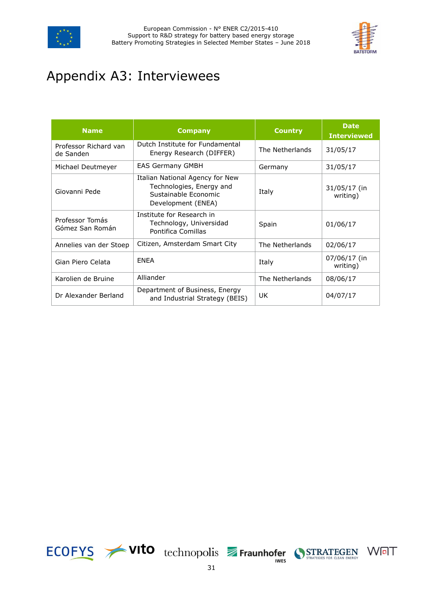



# <span id="page-33-0"></span>Appendix A3: Interviewees

| <b>Name</b>                        | <b>Company</b>                                                                                            | <b>Country</b>  | <b>Date</b><br><b>Interviewed</b> |
|------------------------------------|-----------------------------------------------------------------------------------------------------------|-----------------|-----------------------------------|
| Professor Richard van<br>de Sanden | Dutch Institute for Fundamental<br>Energy Research (DIFFER)                                               | The Netherlands | 31/05/17                          |
| Michael Deutmeyer                  | <b>EAS Germany GMBH</b>                                                                                   | Germany         | 31/05/17                          |
| Giovanni Pede                      | Italian National Agency for New<br>Technologies, Energy and<br>Sustainable Economic<br>Development (ENEA) | Italy           | 31/05/17 (in<br>writing)          |
| Professor Tomás<br>Gómez San Román | Institute for Research in<br>Technology, Universidad<br>Pontifica Comillas                                | Spain           | 01/06/17                          |
| Annelies van der Stoep             | Citizen, Amsterdam Smart City                                                                             | The Netherlands | 02/06/17                          |
| Gian Piero Celata                  | <b>ENEA</b>                                                                                               | Italy           | 07/06/17 (in<br>writing)          |
| Karolien de Bruine                 | Alliander                                                                                                 | The Netherlands | 08/06/17                          |
| Dr Alexander Berland               | Department of Business, Energy<br>and Industrial Strategy (BEIS)                                          | <b>UK</b>       | 04/07/17                          |



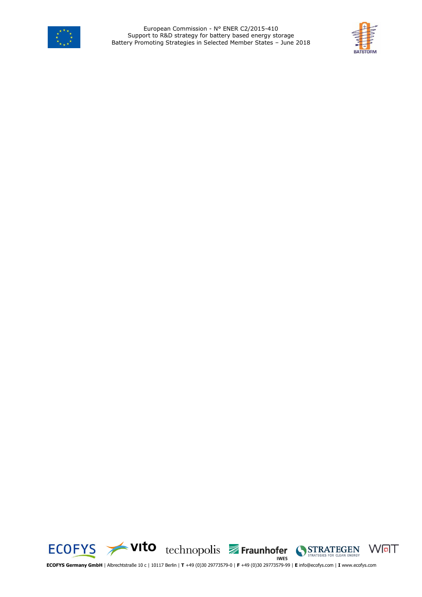

European Commission - N° ENER C2/2015-410 Support to R&D strategy for battery based energy storage Battery Promoting Strategies in Selected Member States – June 2018